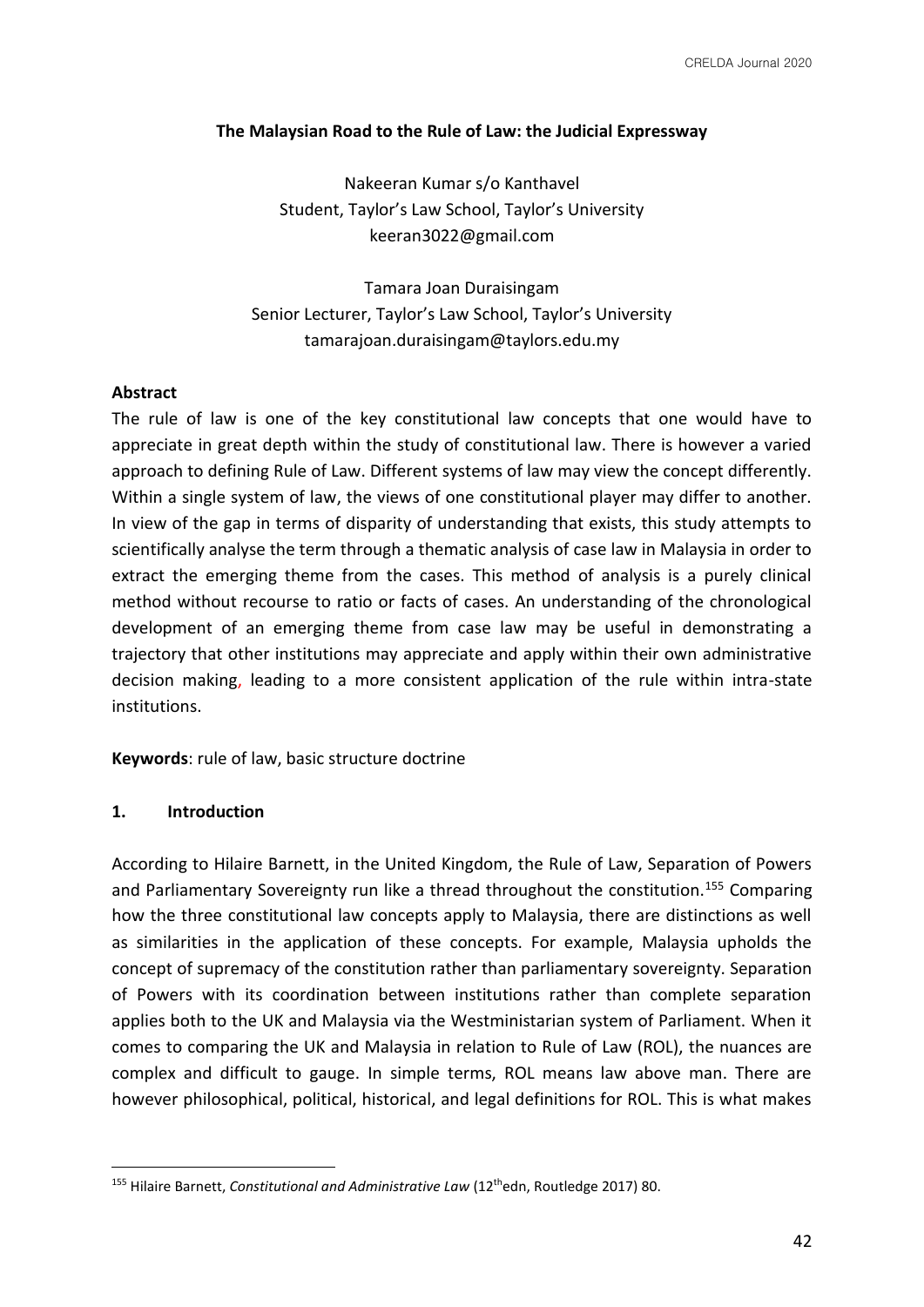### **The Malaysian Road to the Rule of Law: the Judicial Expressway**

Nakeeran Kumar s/o Kanthavel Student, Taylor's Law School, Taylor's University keeran3022@gmail.com

Tamara Joan Duraisingam Senior Lecturer, Taylor's Law School, Taylor's University tamarajoan.duraisingam@taylors.edu.my

## **Abstract**

The rule of law is one of the key constitutional law concepts that one would have to appreciate in great depth within the study of constitutional law. There is however a varied approach to defining Rule of Law. Different systems of law may view the concept differently. Within a single system of law, the views of one constitutional player may differ to another. In view of the gap in terms of disparity of understanding that exists, this study attempts to scientifically analyse the term through a thematic analysis of case law in Malaysia in order to extract the emerging theme from the cases. This method of analysis is a purely clinical method without recourse to ratio or facts of cases. An understanding of the chronological development of an emerging theme from case law may be useful in demonstrating a trajectory that other institutions may appreciate and apply within their own administrative decision making, leading to a more consistent application of the rule within intra-state institutions.

**Keywords**: rule of law, basic structure doctrine

#### **1. Introduction**

According to Hilaire Barnett, in the United Kingdom, the Rule of Law, Separation of Powers and Parliamentary Sovereignty run like a thread throughout the constitution.<sup>155</sup> Comparing how the three constitutional law concepts apply to Malaysia, there are distinctions as well as similarities in the application of these concepts. For example, Malaysia upholds the concept of supremacy of the constitution rather than parliamentary sovereignty. Separation of Powers with its coordination between institutions rather than complete separation applies both to the UK and Malaysia via the Westministarian system of Parliament. When it comes to comparing the UK and Malaysia in relation to Rule of Law (ROL), the nuances are complex and difficult to gauge. In simple terms, ROL means law above man. There are however philosophical, political, historical, and legal definitions for ROL. This is what makes

<sup>155</sup> Hilaire Barnett, *Constitutional and Administrative Law* (12thedn, Routledge 2017) 80.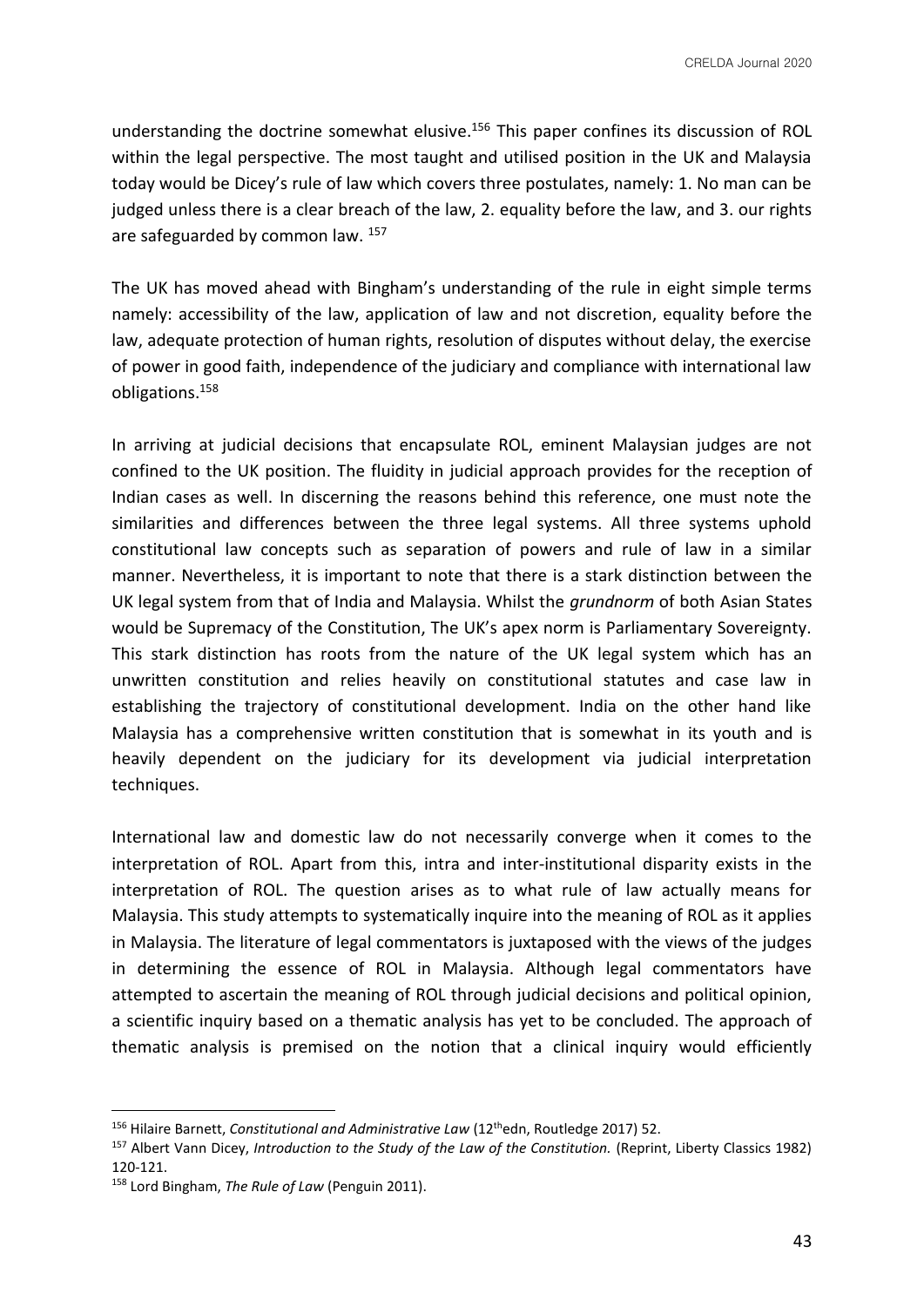understanding the doctrine somewhat elusive.<sup>156</sup> This paper confines its discussion of ROL within the legal perspective. The most taught and utilised position in the UK and Malaysia today would be Dicey's rule of law which covers three postulates, namely: 1. No man can be judged unless there is a clear breach of the law, 2. equality before the law, and 3. our rights are safeguarded by common law. 157

The UK has moved ahead with Bingham's understanding of the rule in eight simple terms namely: accessibility of the law, application of law and not discretion, equality before the law, adequate protection of human rights, resolution of disputes without delay, the exercise of power in good faith, independence of the judiciary and compliance with international law obligations.<sup>158</sup>

In arriving at judicial decisions that encapsulate ROL, eminent Malaysian judges are not confined to the UK position. The fluidity in judicial approach provides for the reception of Indian cases as well. In discerning the reasons behind this reference, one must note the similarities and differences between the three legal systems. All three systems uphold constitutional law concepts such as separation of powers and rule of law in a similar manner. Nevertheless, it is important to note that there is a stark distinction between the UK legal system from that of India and Malaysia. Whilst the *grundnorm* of both Asian States would be Supremacy of the Constitution, The UK's apex norm is Parliamentary Sovereignty. This stark distinction has roots from the nature of the UK legal system which has an unwritten constitution and relies heavily on constitutional statutes and case law in establishing the trajectory of constitutional development. India on the other hand like Malaysia has a comprehensive written constitution that is somewhat in its youth and is heavily dependent on the judiciary for its development via judicial interpretation techniques.

International law and domestic law do not necessarily converge when it comes to the interpretation of ROL. Apart from this, intra and inter-institutional disparity exists in the interpretation of ROL. The question arises as to what rule of law actually means for Malaysia. This study attempts to systematically inquire into the meaning of ROL as it applies in Malaysia. The literature of legal commentators is juxtaposed with the views of the judges in determining the essence of ROL in Malaysia. Although legal commentators have attempted to ascertain the meaning of ROL through judicial decisions and political opinion, a scientific inquiry based on a thematic analysis has yet to be concluded. The approach of thematic analysis is premised on the notion that a clinical inquiry would efficiently

<sup>&</sup>lt;sup>156</sup> Hilaire Barnett, *Constitutional and Administrative Law* (12<sup>th</sup>edn, Routledge 2017) 52.

<sup>157</sup> Albert Vann Dicey, *Introduction to the Study of the Law of the Constitution.* (Reprint, Liberty Classics 1982) 120-121.

<sup>158</sup> Lord Bingham, *The Rule of Law* (Penguin 2011).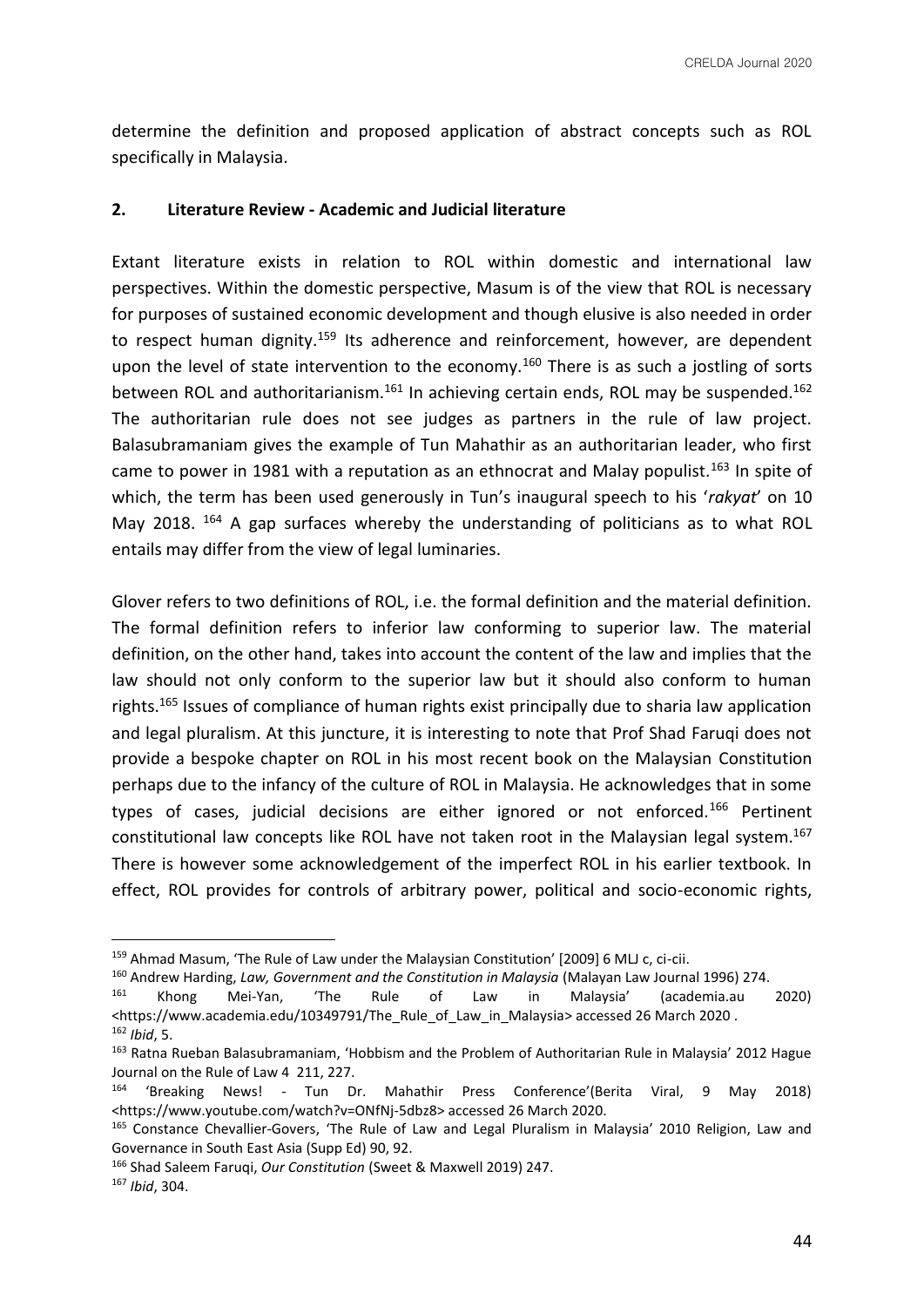determine the definition and proposed application of abstract concepts such as ROL specifically in Malaysia.

#### **2. Literature Review - Academic and Judicial literature**

Extant literature exists in relation to ROL within domestic and international law perspectives. Within the domestic perspective, Masum is of the view that ROL is necessary for purposes of sustained economic development and though elusive is also needed in order to respect human dignity.<sup>159</sup> Its adherence and reinforcement, however, are dependent upon the level of state intervention to the economy.<sup>160</sup> There is as such a jostling of sorts between ROL and authoritarianism.<sup>161</sup> In achieving certain ends, ROL may be suspended.<sup>162</sup> The authoritarian rule does not see judges as partners in the rule of law project. Balasubramaniam gives the example of Tun Mahathir as an authoritarian leader, who first came to power in 1981 with a reputation as an ethnocrat and Malay populist.<sup>163</sup> In spite of which, the term has been used generously in Tun's inaugural speech to his '*rakyat*' on 10 May 2018. <sup>164</sup> A gap surfaces whereby the understanding of politicians as to what ROL entails may differ from the view of legal luminaries.

Glover refers to two definitions of ROL, i.e. the formal definition and the material definition. The formal definition refers to inferior law conforming to superior law. The material definition, on the other hand, takes into account the content of the law and implies that the law should not only conform to the superior law but it should also conform to human rights.<sup>165</sup> Issues of compliance of human rights exist principally due to sharia law application and legal pluralism. At this juncture, it is interesting to note that Prof Shad Faruqi does not provide a bespoke chapter on ROL in his most recent book on the Malaysian Constitution perhaps due to the infancy of the culture of ROL in Malaysia. He acknowledges that in some types of cases, judicial decisions are either ignored or not enforced.<sup>166</sup> Pertinent constitutional law concepts like ROL have not taken root in the Malaysian legal system.<sup>167</sup> There is however some acknowledgement of the imperfect ROL in his earlier textbook. In effect, ROL provides for controls of arbitrary power, political and socio-economic rights,

<sup>159</sup> Ahmad Masum, 'The Rule of Law under the Malaysian Constitution' [2009] 6 MLJ c, ci-cii.

<sup>160</sup> Andrew Harding, *Law, Government and the Constitution in Malaysia* (Malayan Law Journal 1996) 274.

<sup>161</sup> Khong Mei-Yan, 'The Rule of Law in Malaysia' (academia.au 2020) <https://www.academia.edu/10349791/The\_Rule\_of\_Law\_in\_Malaysia> accessed 26 March 2020 . <sup>162</sup> *Ibid*, 5.

<sup>163</sup> Ratna Rueban Balasubramaniam, 'Hobbism and the Problem of Authoritarian Rule in Malaysia' 2012 Hague Journal on the Rule of Law 4 211, 227.

<sup>164</sup> 'Breaking News! - Tun Dr. Mahathir Press Conference'(Berita Viral, 9 May 2018) <https://www.youtube.com/watch?v=ONfNj-5dbz8> accessed 26 March 2020.

<sup>&</sup>lt;sup>165</sup> Constance Chevallier-Govers, 'The Rule of Law and Legal Pluralism in Malaysia' 2010 Religion, Law and Governance in South East Asia (Supp Ed) 90, 92.

<sup>166</sup> Shad Saleem Faruqi, *Our Constitution* (Sweet & Maxwell 2019) 247.

<sup>167</sup> *Ibid*, 304.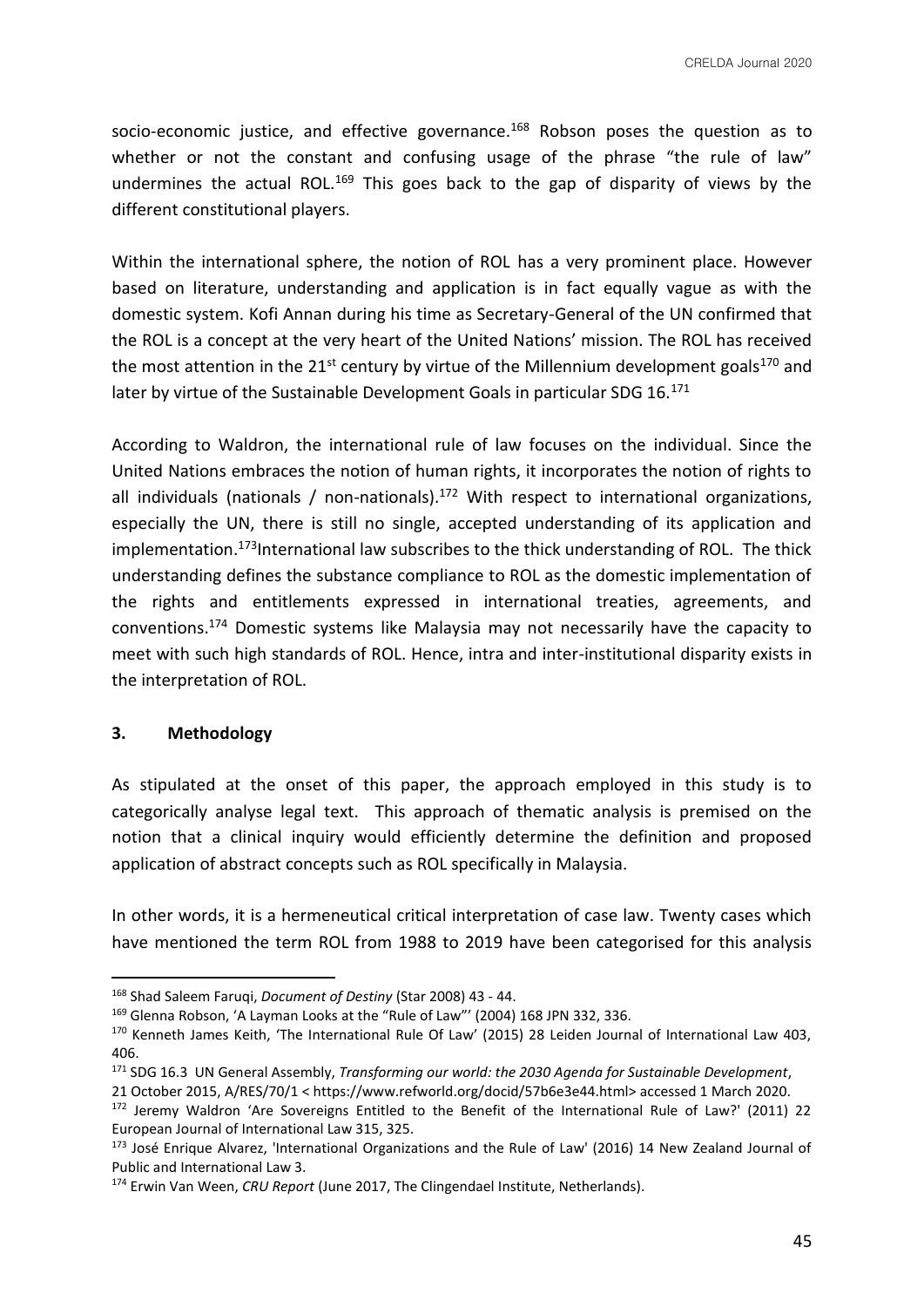socio-economic justice, and effective governance.<sup>168</sup> Robson poses the question as to whether or not the constant and confusing usage of the phrase "the rule of law" undermines the actual ROL.<sup>169</sup> This goes back to the gap of disparity of views by the different constitutional players.

Within the international sphere, the notion of ROL has a very prominent place. However based on literature, understanding and application is in fact equally vague as with the domestic system. Kofi Annan during his time as Secretary-General of the UN confirmed that the ROL is a concept at the very heart of the United Nations' mission. The ROL has received the most attention in the 21<sup>st</sup> century by virtue of the Millennium development goals<sup>170</sup> and later by virtue of the Sustainable Development Goals in particular SDG 16.171

According to Waldron, the international rule of law focuses on the individual. Since the United Nations embraces the notion of human rights, it incorporates the notion of rights to all individuals (nationals / non-nationals).<sup>172</sup> With respect to international organizations, especially the UN, there is still no single, accepted understanding of its application and implementation.<sup>173</sup>International law subscribes to the thick understanding of ROL. The thick understanding defines the substance compliance to ROL as the domestic implementation of the rights and entitlements expressed in international treaties, agreements, and conventions.<sup>174</sup> Domestic systems like Malaysia may not necessarily have the capacity to meet with such high standards of ROL. Hence, intra and inter-institutional disparity exists in the interpretation of ROL.

#### **3. Methodology**

As stipulated at the onset of this paper, the approach employed in this study is to categorically analyse legal text. This approach of thematic analysis is premised on the notion that a clinical inquiry would efficiently determine the definition and proposed application of abstract concepts such as ROL specifically in Malaysia.

In other words, it is a hermeneutical critical interpretation of case law. Twenty cases which have mentioned the term ROL from 1988 to 2019 have been categorised for this analysis

<sup>168</sup> Shad Saleem Faruqi, *Document of Destiny* (Star 2008) 43 - 44.

<sup>169</sup> Glenna Robson, 'A Layman Looks at the "Rule of Law"' (2004) 168 JPN 332, 336.

<sup>&</sup>lt;sup>170</sup> Kenneth James Keith, 'The International Rule Of Law' (2015) 28 Leiden Journal of International Law 403, 406.

<sup>171</sup> SDG 16.3 UN General Assembly, *Transforming our world: the 2030 Agenda for Sustainable Development*, 21 October 2015, A/RES/70/1 < https://www.refworld.org/docid/57b6e3e44.html> accessed 1 March 2020.

<sup>172</sup> Jeremy Waldron 'Are Sovereigns Entitled to the Benefit of the International Rule of Law?' (2011) 22 European Journal of International Law 315, 325.

<sup>173</sup> José Enrique Alvarez, 'International Organizations and the Rule of Law' (2016) 14 New Zealand Journal of Public and International Law 3.

<sup>174</sup> Erwin Van Ween, *CRU Report* (June 2017, The Clingendael Institute, Netherlands).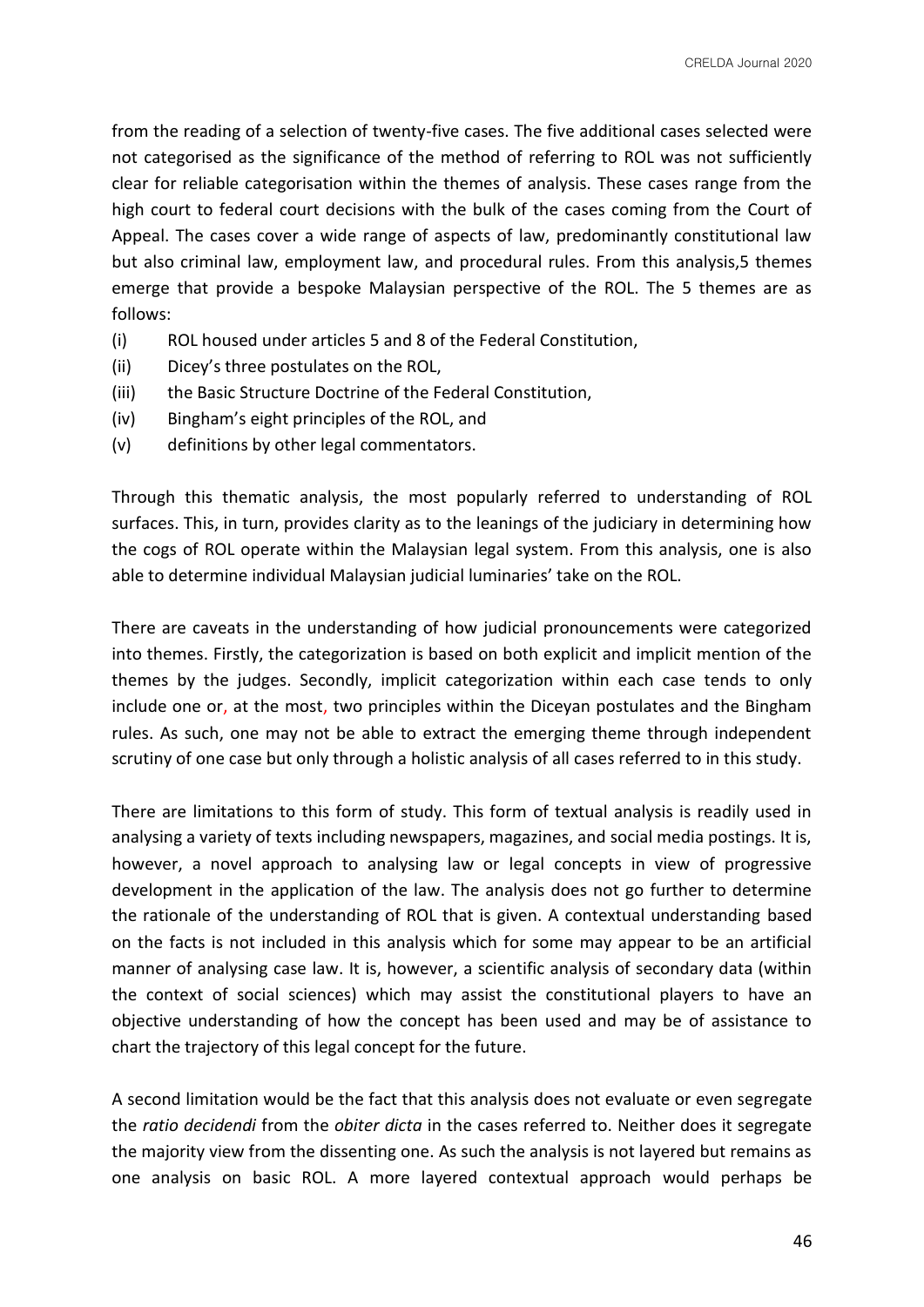from the reading of a selection of twenty-five cases. The five additional cases selected were not categorised as the significance of the method of referring to ROL was not sufficiently clear for reliable categorisation within the themes of analysis. These cases range from the high court to federal court decisions with the bulk of the cases coming from the Court of Appeal. The cases cover a wide range of aspects of law, predominantly constitutional law but also criminal law, employment law, and procedural rules. From this analysis,5 themes emerge that provide a bespoke Malaysian perspective of the ROL. The 5 themes are as follows:

- (i) ROL housed under articles 5 and 8 of the Federal Constitution,
- (ii) Dicey's three postulates on the ROL,
- (iii) the Basic Structure Doctrine of the Federal Constitution,
- (iv) Bingham's eight principles of the ROL, and
- (v) definitions by other legal commentators.

Through this thematic analysis, the most popularly referred to understanding of ROL surfaces. This, in turn, provides clarity as to the leanings of the judiciary in determining how the cogs of ROL operate within the Malaysian legal system. From this analysis, one is also able to determine individual Malaysian judicial luminaries' take on the ROL.

There are caveats in the understanding of how judicial pronouncements were categorized into themes. Firstly, the categorization is based on both explicit and implicit mention of the themes by the judges. Secondly, implicit categorization within each case tends to only include one or, at the most, two principles within the Diceyan postulates and the Bingham rules. As such, one may not be able to extract the emerging theme through independent scrutiny of one case but only through a holistic analysis of all cases referred to in this study.

There are limitations to this form of study. This form of textual analysis is readily used in analysing a variety of texts including newspapers, magazines, and social media postings. It is, however, a novel approach to analysing law or legal concepts in view of progressive development in the application of the law. The analysis does not go further to determine the rationale of the understanding of ROL that is given. A contextual understanding based on the facts is not included in this analysis which for some may appear to be an artificial manner of analysing case law. It is, however, a scientific analysis of secondary data (within the context of social sciences) which may assist the constitutional players to have an objective understanding of how the concept has been used and may be of assistance to chart the trajectory of this legal concept for the future.

A second limitation would be the fact that this analysis does not evaluate or even segregate the *ratio decidendi* from the *obiter dicta* in the cases referred to. Neither does it segregate the majority view from the dissenting one. As such the analysis is not layered but remains as one analysis on basic ROL. A more layered contextual approach would perhaps be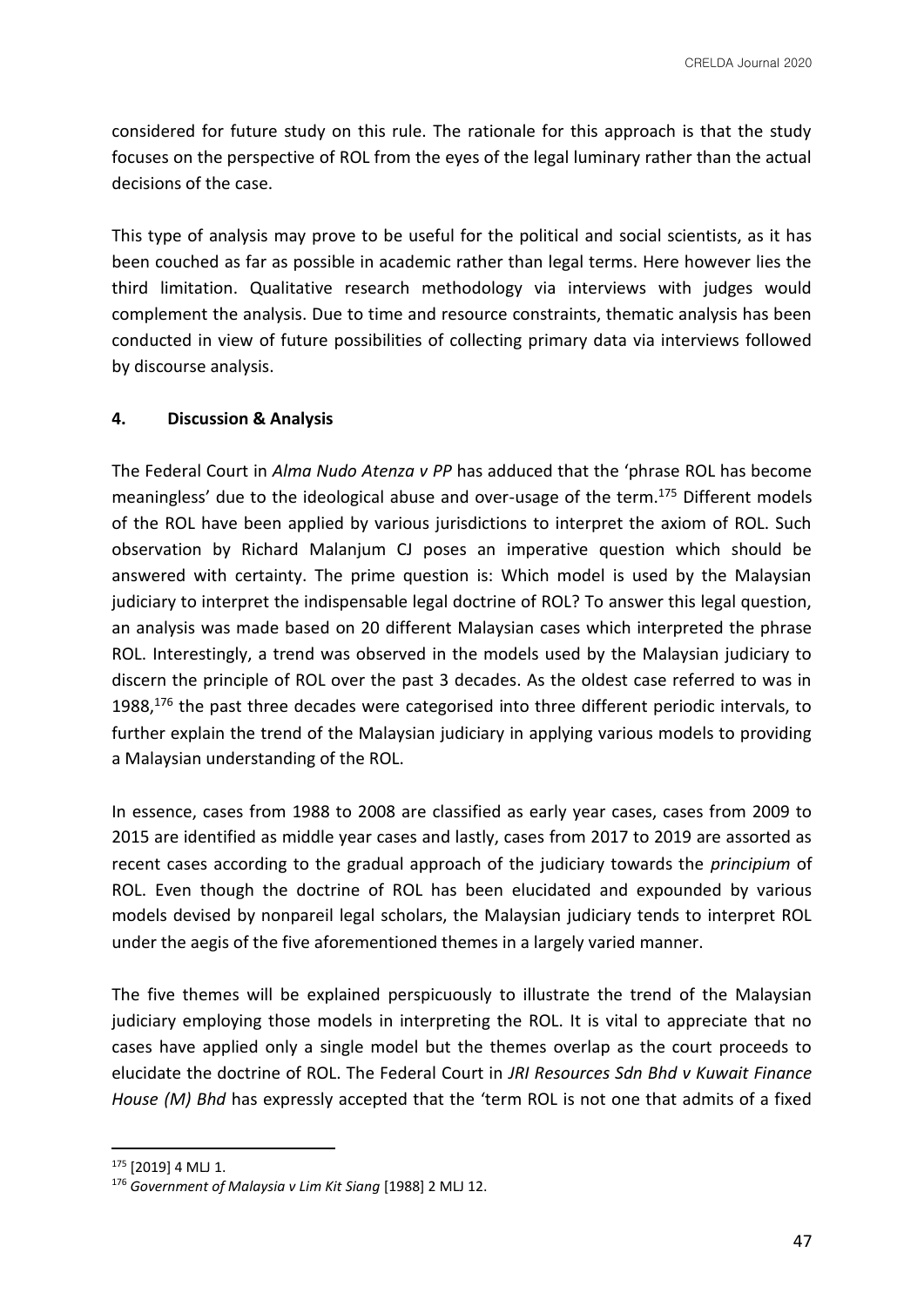considered for future study on this rule. The rationale for this approach is that the study focuses on the perspective of ROL from the eyes of the legal luminary rather than the actual decisions of the case.

This type of analysis may prove to be useful for the political and social scientists, as it has been couched as far as possible in academic rather than legal terms. Here however lies the third limitation. Qualitative research methodology via interviews with judges would complement the analysis. Due to time and resource constraints, thematic analysis has been conducted in view of future possibilities of collecting primary data via interviews followed by discourse analysis.

# **4. Discussion & Analysis**

The Federal Court in *Alma Nudo Atenza v PP* has adduced that the 'phrase ROL has become meaningless' due to the ideological abuse and over-usage of the term.<sup>175</sup> Different models of the ROL have been applied by various jurisdictions to interpret the axiom of ROL. Such observation by Richard Malanjum CJ poses an imperative question which should be answered with certainty. The prime question is: Which model is used by the Malaysian judiciary to interpret the indispensable legal doctrine of ROL? To answer this legal question, an analysis was made based on 20 different Malaysian cases which interpreted the phrase ROL. Interestingly, a trend was observed in the models used by the Malaysian judiciary to discern the principle of ROL over the past 3 decades. As the oldest case referred to was in 1988,<sup>176</sup> the past three decades were categorised into three different periodic intervals, to further explain the trend of the Malaysian judiciary in applying various models to providing a Malaysian understanding of the ROL.

In essence, cases from 1988 to 2008 are classified as early year cases, cases from 2009 to 2015 are identified as middle year cases and lastly, cases from 2017 to 2019 are assorted as recent cases according to the gradual approach of the judiciary towards the *principium* of ROL. Even though the doctrine of ROL has been elucidated and expounded by various models devised by nonpareil legal scholars, the Malaysian judiciary tends to interpret ROL under the aegis of the five aforementioned themes in a largely varied manner.

The five themes will be explained perspicuously to illustrate the trend of the Malaysian judiciary employing those models in interpreting the ROL. It is vital to appreciate that no cases have applied only a single model but the themes overlap as the court proceeds to elucidate the doctrine of ROL. The Federal Court in *JRI Resources Sdn Bhd v Kuwait Finance House (M) Bhd* has expressly accepted that the 'term ROL is not one that admits of a fixed

<sup>175</sup> [2019] 4 MLJ 1.

<sup>176</sup> *Government of Malaysia v Lim Kit Siang* [1988] 2 MLJ 12.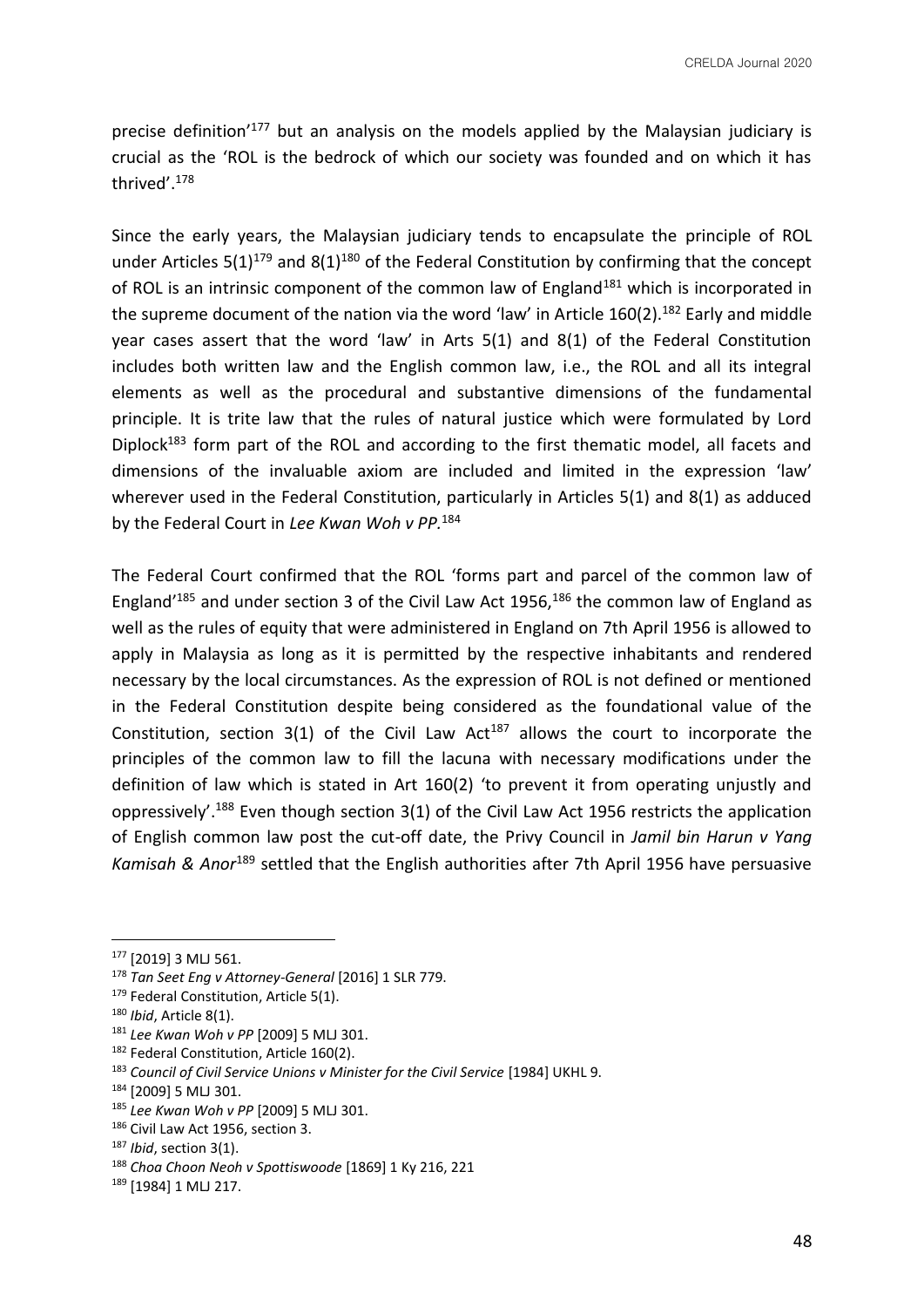precise definition<sup>'177</sup> but an analysis on the models applied by the Malaysian judiciary is crucial as the 'ROL is the bedrock of which our society was founded and on which it has thrived'.<sup>178</sup>

Since the early years, the Malaysian judiciary tends to encapsulate the principle of ROL under Articles  $5(1)^{179}$  and  $8(1)^{180}$  of the Federal Constitution by confirming that the concept of ROL is an intrinsic component of the common law of England<sup>181</sup> which is incorporated in the supreme document of the nation via the word 'law' in Article  $160(2)$ .<sup>182</sup> Early and middle year cases assert that the word 'law' in Arts 5(1) and 8(1) of the Federal Constitution includes both written law and the English common law, i.e., the ROL and all its integral elements as well as the procedural and substantive dimensions of the fundamental principle. It is trite law that the rules of natural justice which were formulated by Lord Diplock<sup>183</sup> form part of the ROL and according to the first thematic model, all facets and dimensions of the invaluable axiom are included and limited in the expression 'law' wherever used in the Federal Constitution, particularly in Articles 5(1) and 8(1) as adduced by the Federal Court in *Lee Kwan Woh v PP.*<sup>184</sup>

The Federal Court confirmed that the ROL 'forms part and parcel of the common law of England<sup>'185</sup> and under section 3 of the Civil Law Act 1956,<sup>186</sup> the common law of England as well as the rules of equity that were administered in England on 7th April 1956 is allowed to apply in Malaysia as long as it is permitted by the respective inhabitants and rendered necessary by the local circumstances. As the expression of ROL is not defined or mentioned in the Federal Constitution despite being considered as the foundational value of the Constitution, section  $3(1)$  of the Civil Law Act<sup>187</sup> allows the court to incorporate the principles of the common law to fill the lacuna with necessary modifications under the definition of law which is stated in Art 160(2) 'to prevent it from operating unjustly and oppressively'.<sup>188</sup> Even though section 3(1) of the Civil Law Act 1956 restricts the application of English common law post the cut-off date, the Privy Council in *Jamil bin Harun v Yang Kamisah & Anor*<sup>189</sup> settled that the English authorities after 7th April 1956 have persuasive

<sup>177</sup> [2019] 3 MLJ 561.

<sup>178</sup> *Tan Seet Eng v Attorney-General* [2016] 1 SLR 779.

<sup>&</sup>lt;sup>179</sup> Federal Constitution, Article 5(1).

<sup>180</sup> *Ibid*, Article 8(1).

<sup>181</sup> *Lee Kwan Woh v PP* [2009] 5 MLJ 301.

<sup>&</sup>lt;sup>182</sup> Federal Constitution, Article 160(2).

<sup>&</sup>lt;sup>183</sup> Council of Civil Service Unions v Minister for the Civil Service [1984] UKHL 9.

<sup>184</sup> [2009] 5 MLJ 301.

<sup>185</sup> *Lee Kwan Woh v PP* [2009] 5 MLJ 301.

<sup>186</sup> Civil Law Act 1956, section 3.

<sup>187</sup> *Ibid*, section 3(1).

<sup>188</sup> *Choa Choon Neoh v Spottiswoode* [1869] 1 Ky 216, 221

<sup>189</sup> [1984] 1 MLJ 217.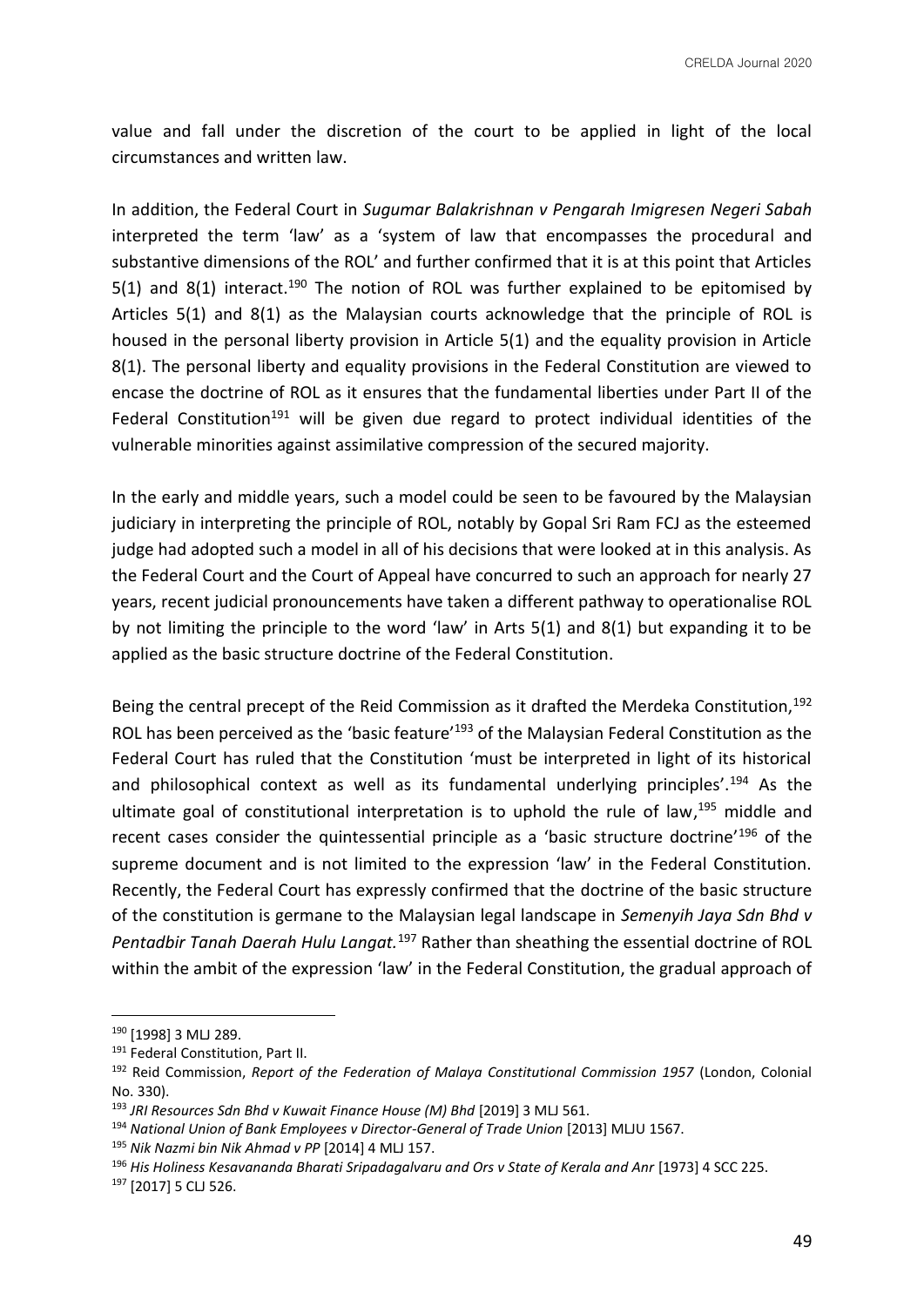value and fall under the discretion of the court to be applied in light of the local circumstances and written law.

In addition, the Federal Court in *Sugumar Balakrishnan v Pengarah Imigresen Negeri Sabah* interpreted the term 'law' as a 'system of law that encompasses the procedural and substantive dimensions of the ROL' and further confirmed that it is at this point that Articles 5(1) and 8(1) interact.<sup>190</sup> The notion of ROL was further explained to be epitomised by Articles 5(1) and 8(1) as the Malaysian courts acknowledge that the principle of ROL is housed in the personal liberty provision in Article 5(1) and the equality provision in Article 8(1). The personal liberty and equality provisions in the Federal Constitution are viewed to encase the doctrine of ROL as it ensures that the fundamental liberties under Part II of the Federal Constitution<sup>191</sup> will be given due regard to protect individual identities of the vulnerable minorities against assimilative compression of the secured majority.

In the early and middle years, such a model could be seen to be favoured by the Malaysian judiciary in interpreting the principle of ROL, notably by Gopal Sri Ram FCJ as the esteemed judge had adopted such a model in all of his decisions that were looked at in this analysis. As the Federal Court and the Court of Appeal have concurred to such an approach for nearly 27 years, recent judicial pronouncements have taken a different pathway to operationalise ROL by not limiting the principle to the word 'law' in Arts 5(1) and 8(1) but expanding it to be applied as the basic structure doctrine of the Federal Constitution.

Being the central precept of the Reid Commission as it drafted the Merdeka Constitution,  $192$ ROL has been perceived as the 'basic feature'<sup>193</sup> of the Malaysian Federal Constitution as the Federal Court has ruled that the Constitution 'must be interpreted in light of its historical and philosophical context as well as its fundamental underlying principles'.<sup>194</sup> As the ultimate goal of constitutional interpretation is to uphold the rule of law, <sup>195</sup> middle and recent cases consider the quintessential principle as a 'basic structure doctrine'<sup>196</sup> of the supreme document and is not limited to the expression 'law' in the Federal Constitution. Recently, the Federal Court has expressly confirmed that the doctrine of the basic structure of the constitution is germane to the Malaysian legal landscape in *Semenyih Jaya Sdn Bhd v Pentadbir Tanah Daerah Hulu Langat.*<sup>197</sup> Rather than sheathing the essential doctrine of ROL within the ambit of the expression 'law' in the Federal Constitution, the gradual approach of

<sup>190</sup> [1998] 3 MLJ 289.

<sup>&</sup>lt;sup>191</sup> Federal Constitution, Part II.

<sup>192</sup> Reid Commission, *Report of the Federation of Malaya Constitutional Commission 1957* (London, Colonial No. 330).

<sup>193</sup> *JRI Resources Sdn Bhd v Kuwait Finance House (M) Bhd* [2019] 3 MLJ 561.

<sup>&</sup>lt;sup>194</sup> National Union of Bank Employees v Director-General of Trade Union [2013] MLJU 1567.

<sup>195</sup> *Nik Nazmi bin Nik Ahmad v PP* [2014] 4 MLJ 157.

<sup>196</sup> *His Holiness Kesavananda Bharati Sripadagalvaru and Ors v State of Kerala and Anr* [1973] 4 SCC 225.

<sup>197</sup> [2017] 5 CLJ 526.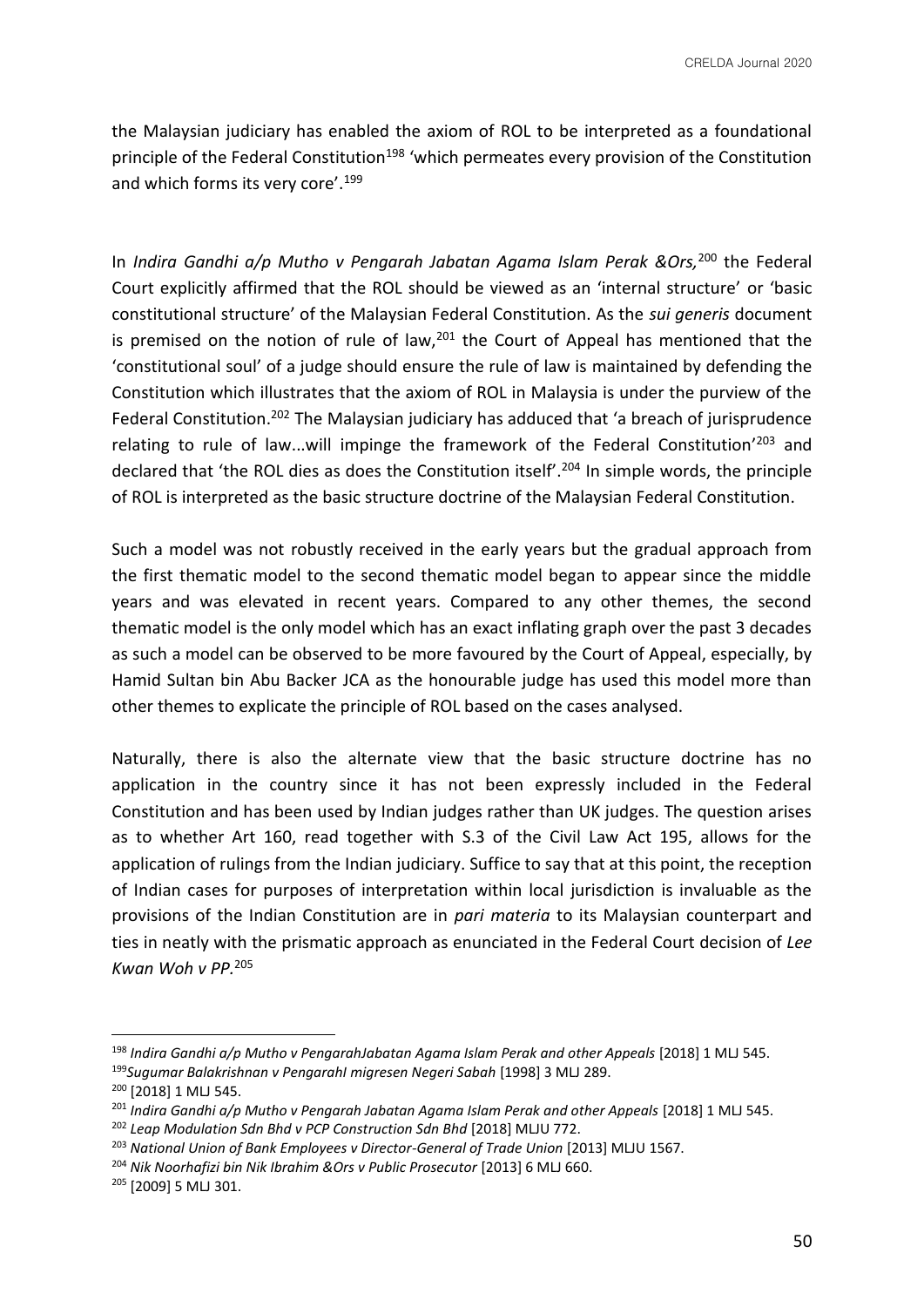the Malaysian judiciary has enabled the axiom of ROL to be interpreted as a foundational principle of the Federal Constitution<sup>198</sup> 'which permeates every provision of the Constitution and which forms its very core'.<sup>199</sup>

In *Indira Gandhi a/p Mutho v Pengarah Jabatan Agama Islam Perak &Ors,*<sup>200</sup> the Federal Court explicitly affirmed that the ROL should be viewed as an 'internal structure' or 'basic constitutional structure' of the Malaysian Federal Constitution. As the *sui generis* document is premised on the notion of rule of law, $201$  the Court of Appeal has mentioned that the 'constitutional soul' of a judge should ensure the rule of law is maintained by defending the Constitution which illustrates that the axiom of ROL in Malaysia is under the purview of the Federal Constitution.<sup>202</sup> The Malaysian judiciary has adduced that 'a breach of jurisprudence relating to rule of law...will impinge the framework of the Federal Constitution<sup>'203</sup> and declared that 'the ROL dies as does the Constitution itself'.<sup>204</sup> In simple words, the principle of ROL is interpreted as the basic structure doctrine of the Malaysian Federal Constitution.

Such a model was not robustly received in the early years but the gradual approach from the first thematic model to the second thematic model began to appear since the middle years and was elevated in recent years. Compared to any other themes, the second thematic model is the only model which has an exact inflating graph over the past 3 decades as such a model can be observed to be more favoured by the Court of Appeal, especially, by Hamid Sultan bin Abu Backer JCA as the honourable judge has used this model more than other themes to explicate the principle of ROL based on the cases analysed.

Naturally, there is also the alternate view that the basic structure doctrine has no application in the country since it has not been expressly included in the Federal Constitution and has been used by Indian judges rather than UK judges. The question arises as to whether Art 160, read together with S.3 of the Civil Law Act 195, allows for the application of rulings from the Indian judiciary. Suffice to say that at this point, the reception of Indian cases for purposes of interpretation within local jurisdiction is invaluable as the provisions of the Indian Constitution are in *pari materia* to its Malaysian counterpart and ties in neatly with the prismatic approach as enunciated in the Federal Court decision of *Lee Kwan Woh v PP.*<sup>205</sup>

<sup>198</sup> *Indira Gandhi a/p Mutho v PengarahJabatan Agama Islam Perak and other Appeals* [2018] 1 MLJ 545. <sup>199</sup>*Sugumar Balakrishnan v PengarahI migresen Negeri Sabah* [1998] 3 MLJ 289.

<sup>200</sup> [2018] 1 MLJ 545.

<sup>&</sup>lt;sup>201</sup> Indira Gandhi a/p Mutho v Pengarah Jabatan Agama Islam Perak and other Appeals [2018] 1 MLJ 545.

<sup>202</sup> *Leap Modulation Sdn Bhd v PCP Construction Sdn Bhd* [2018] MLJU 772.

<sup>&</sup>lt;sup>203</sup> National Union of Bank Employees v Director-General of Trade Union [2013] MLJU 1567.

<sup>&</sup>lt;sup>204</sup> Nik Noorhafizi bin Nik Ibrahim &Ors v Public Prosecutor [2013] 6 MLJ 660.

<sup>205</sup> [2009] 5 MLJ 301.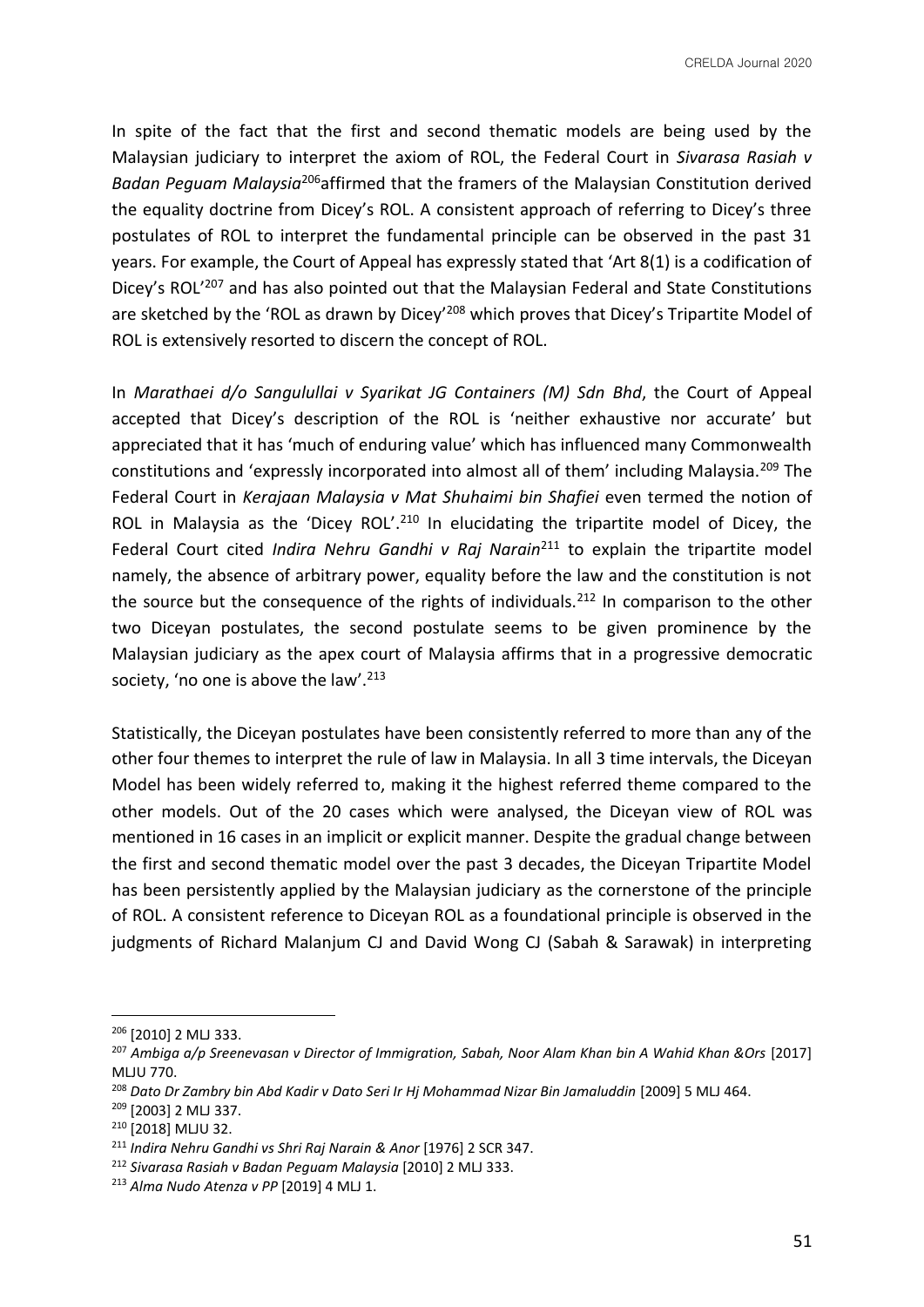CRELDA Journal 2020

In spite of the fact that the first and second thematic models are being used by the Malaysian judiciary to interpret the axiom of ROL, the Federal Court in *Sivarasa Rasiah v Badan Peguam Malaysia*<sup>206</sup>affirmed that the framers of the Malaysian Constitution derived the equality doctrine from Dicey's ROL. A consistent approach of referring to Dicey's three postulates of ROL to interpret the fundamental principle can be observed in the past 31 years. For example, the Court of Appeal has expressly stated that 'Art 8(1) is a codification of Dicey's ROL<sup>'207</sup> and has also pointed out that the Malaysian Federal and State Constitutions are sketched by the 'ROL as drawn by Dicey'<sup>208</sup> which proves that Dicey's Tripartite Model of ROL is extensively resorted to discern the concept of ROL.

In *Marathaei d/o Sangulullai v Syarikat JG Containers (M) Sdn Bhd*, the Court of Appeal accepted that Dicey's description of the ROL is 'neither exhaustive nor accurate' but appreciated that it has 'much of enduring value' which has influenced many Commonwealth constitutions and 'expressly incorporated into almost all of them' including Malaysia.<sup>209</sup> The Federal Court in *Kerajaan Malaysia v Mat Shuhaimi bin Shafiei* even termed the notion of ROL in Malaysia as the 'Dicey ROL'.<sup>210</sup> In elucidating the tripartite model of Dicey, the Federal Court cited *Indira Nehru Gandhi v Raj Narain*<sup>211</sup> to explain the tripartite model namely, the absence of arbitrary power, equality before the law and the constitution is not the source but the consequence of the rights of individuals.<sup>212</sup> In comparison to the other two Diceyan postulates, the second postulate seems to be given prominence by the Malaysian judiciary as the apex court of Malaysia affirms that in a progressive democratic society, 'no one is above the law'.<sup>213</sup>

Statistically, the Diceyan postulates have been consistently referred to more than any of the other four themes to interpret the rule of law in Malaysia. In all 3 time intervals, the Diceyan Model has been widely referred to, making it the highest referred theme compared to the other models. Out of the 20 cases which were analysed, the Diceyan view of ROL was mentioned in 16 cases in an implicit or explicit manner. Despite the gradual change between the first and second thematic model over the past 3 decades, the Diceyan Tripartite Model has been persistently applied by the Malaysian judiciary as the cornerstone of the principle of ROL. A consistent reference to Diceyan ROL as a foundational principle is observed in the judgments of Richard Malanjum CJ and David Wong CJ (Sabah & Sarawak) in interpreting

<sup>206</sup> [2010] 2 MLJ 333.

<sup>&</sup>lt;sup>207</sup> Ambiga a/p Sreenevasan v Director of Immigration, Sabah, Noor Alam Khan bin A Wahid Khan &Ors [2017] MLJU 770.

<sup>&</sup>lt;sup>208</sup> Dato Dr Zambry bin Abd Kadir v Dato Seri Ir Hj Mohammad Nizar Bin Jamaluddin [2009] 5 MLJ 464.

<sup>209</sup> [2003] 2 MLJ 337.

<sup>210</sup> [2018] MLJU 32.

<sup>&</sup>lt;sup>211</sup> Indira Nehru Gandhi vs Shri Raj Narain & Anor [1976] 2 SCR 347.

<sup>212</sup> *Sivarasa Rasiah v Badan Peguam Malaysia* [2010] 2 MLJ 333.

<sup>213</sup> *Alma Nudo Atenza v PP* [2019] 4 MLJ 1.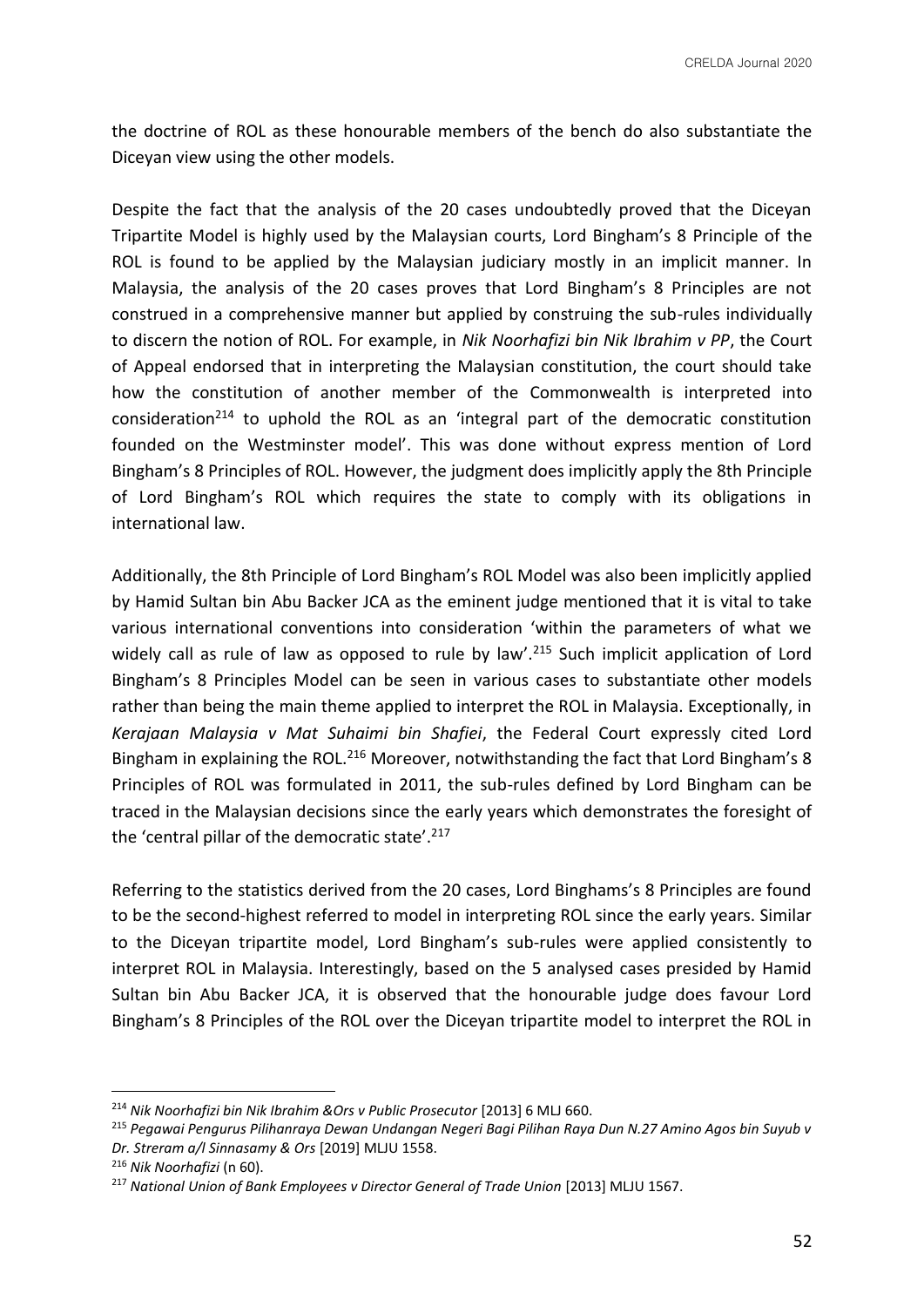the doctrine of ROL as these honourable members of the bench do also substantiate the Diceyan view using the other models.

Despite the fact that the analysis of the 20 cases undoubtedly proved that the Diceyan Tripartite Model is highly used by the Malaysian courts, Lord Bingham's 8 Principle of the ROL is found to be applied by the Malaysian judiciary mostly in an implicit manner. In Malaysia, the analysis of the 20 cases proves that Lord Bingham's 8 Principles are not construed in a comprehensive manner but applied by construing the sub-rules individually to discern the notion of ROL. For example, in *Nik Noorhafizi bin Nik Ibrahim v PP*, the Court of Appeal endorsed that in interpreting the Malaysian constitution, the court should take how the constitution of another member of the Commonwealth is interpreted into consideration<sup>214</sup> to uphold the ROL as an 'integral part of the democratic constitution founded on the Westminster model'. This was done without express mention of Lord Bingham's 8 Principles of ROL. However, the judgment does implicitly apply the 8th Principle of Lord Bingham's ROL which requires the state to comply with its obligations in international law.

Additionally, the 8th Principle of Lord Bingham's ROL Model was also been implicitly applied by Hamid Sultan bin Abu Backer JCA as the eminent judge mentioned that it is vital to take various international conventions into consideration 'within the parameters of what we widely call as rule of law as opposed to rule by law'.<sup>215</sup> Such implicit application of Lord Bingham's 8 Principles Model can be seen in various cases to substantiate other models rather than being the main theme applied to interpret the ROL in Malaysia. Exceptionally, in *Kerajaan Malaysia v Mat Suhaimi bin Shafiei*, the Federal Court expressly cited Lord Bingham in explaining the ROL.<sup>216</sup> Moreover, notwithstanding the fact that Lord Bingham's 8 Principles of ROL was formulated in 2011, the sub-rules defined by Lord Bingham can be traced in the Malaysian decisions since the early years which demonstrates the foresight of the 'central pillar of the democratic state'.<sup>217</sup>

Referring to the statistics derived from the 20 cases, Lord Binghams's 8 Principles are found to be the second-highest referred to model in interpreting ROL since the early years. Similar to the Diceyan tripartite model, Lord Bingham's sub-rules were applied consistently to interpret ROL in Malaysia. Interestingly, based on the 5 analysed cases presided by Hamid Sultan bin Abu Backer JCA, it is observed that the honourable judge does favour Lord Bingham's 8 Principles of the ROL over the Diceyan tripartite model to interpret the ROL in

<sup>&</sup>lt;sup>214</sup> Nik Noorhafizi bin Nik Ibrahim &Ors v Public Prosecutor [2013] 6 MLJ 660.

<sup>215</sup> *Pegawai Pengurus Pilihanraya Dewan Undangan Negeri Bagi Pilihan Raya Dun N.27 Amino Agos bin Suyub v Dr. Streram a/l Sinnasamy & Ors* [2019] MLJU 1558.

<sup>216</sup> *Nik Noorhafizi* (n 60).

<sup>&</sup>lt;sup>217</sup> National Union of Bank Employees v Director General of Trade Union [2013] MLJU 1567.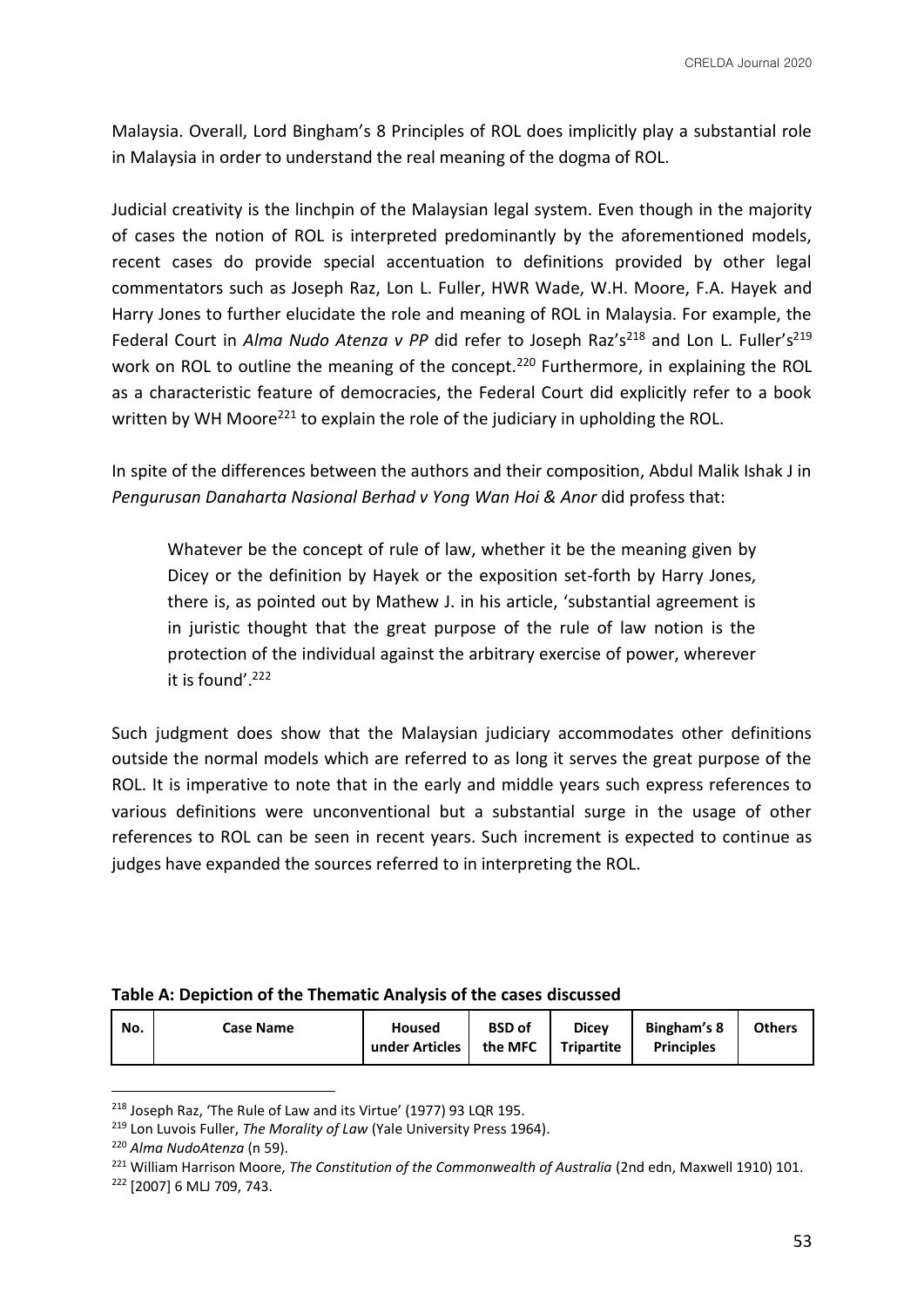Malaysia. Overall, Lord Bingham's 8 Principles of ROL does implicitly play a substantial role in Malaysia in order to understand the real meaning of the dogma of ROL.

Judicial creativity is the linchpin of the Malaysian legal system. Even though in the majority of cases the notion of ROL is interpreted predominantly by the aforementioned models, recent cases do provide special accentuation to definitions provided by other legal commentators such as Joseph Raz, Lon L. Fuller, HWR Wade, W.H. Moore, F.A. Hayek and Harry Jones to further elucidate the role and meaning of ROL in Malaysia. For example, the Federal Court in *Alma Nudo Atenza v PP* did refer to Joseph Raz's<sup>218</sup> and Lon L. Fuller's<sup>219</sup> work on ROL to outline the meaning of the concept.<sup>220</sup> Furthermore, in explaining the ROL as a characteristic feature of democracies, the Federal Court did explicitly refer to a book written by WH Moore<sup>221</sup> to explain the role of the judiciary in upholding the ROL.

In spite of the differences between the authors and their composition, Abdul Malik Ishak J in *Pengurusan Danaharta Nasional Berhad v Yong Wan Hoi & Anor* did profess that:

Whatever be the concept of rule of law, whether it be the meaning given by Dicey or the definition by Hayek or the exposition set-forth by Harry Jones, there is, as pointed out by Mathew J. in his article, 'substantial agreement is in juristic thought that the great purpose of the rule of law notion is the protection of the individual against the arbitrary exercise of power, wherever it is found'.<sup>222</sup>

Such judgment does show that the Malaysian judiciary accommodates other definitions outside the normal models which are referred to as long it serves the great purpose of the ROL. It is imperative to note that in the early and middle years such express references to various definitions were unconventional but a substantial surge in the usage of other references to ROL can be seen in recent years. Such increment is expected to continue as judges have expanded the sources referred to in interpreting the ROL.

|  | Table A: Depiction of the Thematic Analysis of the cases discussed |  |
|--|--------------------------------------------------------------------|--|
|--|--------------------------------------------------------------------|--|

| No. | <b>Case Name</b> | Housed<br>under Articles | <b>BSD</b> of<br>the MFC | <b>Dicey</b><br><b>Tripartite</b> | <b>Bingham's 8</b><br><b>Principles</b> | <b>Others</b> |
|-----|------------------|--------------------------|--------------------------|-----------------------------------|-----------------------------------------|---------------|
|     |                  |                          |                          |                                   |                                         |               |

<sup>218</sup> Joseph Raz, 'The Rule of Law and its Virtue' (1977) 93 LQR 195.

<sup>219</sup> Lon Luvois Fuller, *The Morality of Law* (Yale University Press 1964).

<sup>220</sup> *Alma NudoAtenza* (n 59).

<sup>&</sup>lt;sup>221</sup> William Harrison Moore, *The Constitution of the Commonwealth of Australia* (2nd edn, Maxwell 1910) 101.

<sup>222</sup> [2007] 6 MLJ 709, 743.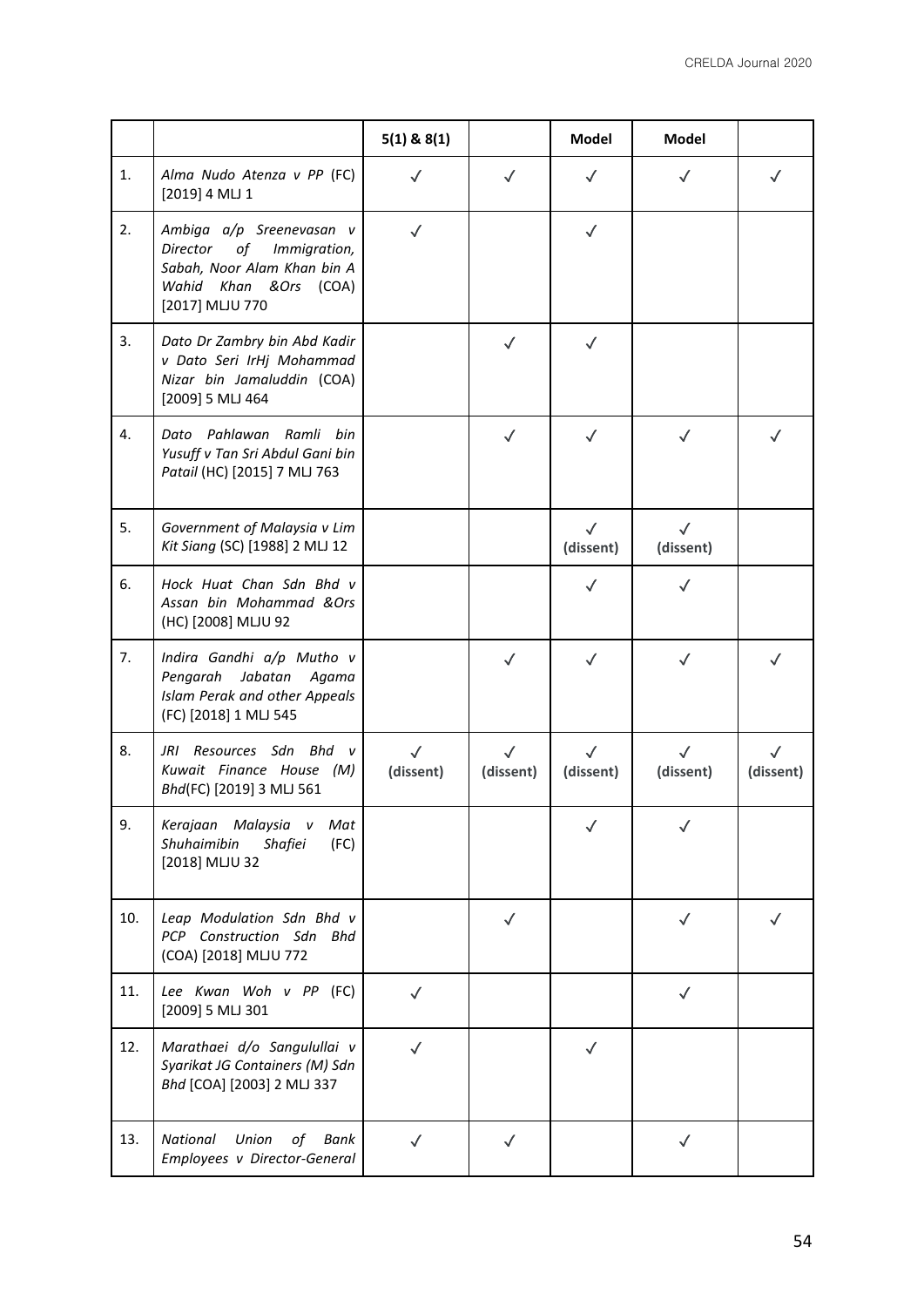|     |                                                                                                                                       | $5(1)$ & $8(1)$           |                           | Model                     | Model                     |                        |
|-----|---------------------------------------------------------------------------------------------------------------------------------------|---------------------------|---------------------------|---------------------------|---------------------------|------------------------|
| 1.  | Alma Nudo Atenza v PP (FC)<br>[2019] 4 MLJ 1                                                                                          | $\checkmark$              | $\checkmark$              | $\checkmark$              | $\checkmark$              | $\checkmark$           |
| 2.  | Ambiga a/p Sreenevasan v<br>Director<br>of<br>Immigration,<br>Sabah, Noor Alam Khan bin A<br>Wahid Khan &Ors (COA)<br>[2017] MLJU 770 | $\checkmark$              |                           | $\checkmark$              |                           |                        |
| 3.  | Dato Dr Zambry bin Abd Kadir<br>v Dato Seri IrHj Mohammad<br>Nizar bin Jamaluddin (COA)<br>[2009] 5 MLJ 464                           |                           | $\checkmark$              | $\checkmark$              |                           |                        |
| 4.  | Pahlawan Ramli bin<br>Dato<br>Yusuff v Tan Sri Abdul Gani bin<br>Patail (HC) [2015] 7 MLJ 763                                         |                           | $\checkmark$              | $\checkmark$              | $\checkmark$              | $\checkmark$           |
| 5.  | Government of Malaysia v Lim<br>Kit Siang (SC) [1988] 2 MLJ 12                                                                        |                           |                           | $\sqrt{}$<br>(dissent)    | $\checkmark$<br>(dissent) |                        |
| 6.  | Hock Huat Chan Sdn Bhd v<br>Assan bin Mohammad &Ors<br>(HC) [2008] MLJU 92                                                            |                           |                           | $\checkmark$              | $\checkmark$              |                        |
| 7.  | Indira Gandhi a/p Mutho v<br>Jabatan<br>Pengarah<br>Agama<br>Islam Perak and other Appeals<br>(FC) [2018] 1 MLJ 545                   |                           | $\checkmark$              | $\checkmark$              | $\checkmark$              | $\sqrt{}$              |
| 8.  | JRI Resources Sdn Bhd v<br>Kuwait Finance House (M)<br>Bhd(FC) [2019] 3 MLJ 561                                                       | $\checkmark$<br>(dissent) | $\checkmark$<br>(dissent) | $\checkmark$<br>(dissent) | $\checkmark$<br>(dissent) | $\sqrt{}$<br>(dissent) |
| 9.  | Kerajaan Malaysia v<br>Mat<br>Shuhaimibin<br>Shafiei<br>(FC)<br>[2018] MLJU 32                                                        |                           |                           |                           |                           |                        |
| 10. | Leap Modulation Sdn Bhd v<br>PCP Construction Sdn Bhd<br>(COA) [2018] MLJU 772                                                        |                           | ✓                         |                           |                           |                        |
| 11. | Lee Kwan Woh v PP (FC)<br>[2009] 5 MLJ 301                                                                                            | $\checkmark$              |                           |                           | $\checkmark$              |                        |
| 12. | Marathaei d/o Sangulullai v<br>Syarikat JG Containers (M) Sdn<br>Bhd [COA] [2003] 2 MLJ 337                                           | $\checkmark$              |                           | $\checkmark$              |                           |                        |
| 13. | National<br>Union<br>of<br>Bank<br>Employees v Director-General                                                                       | $\checkmark$              | $\checkmark$              |                           | $\checkmark$              |                        |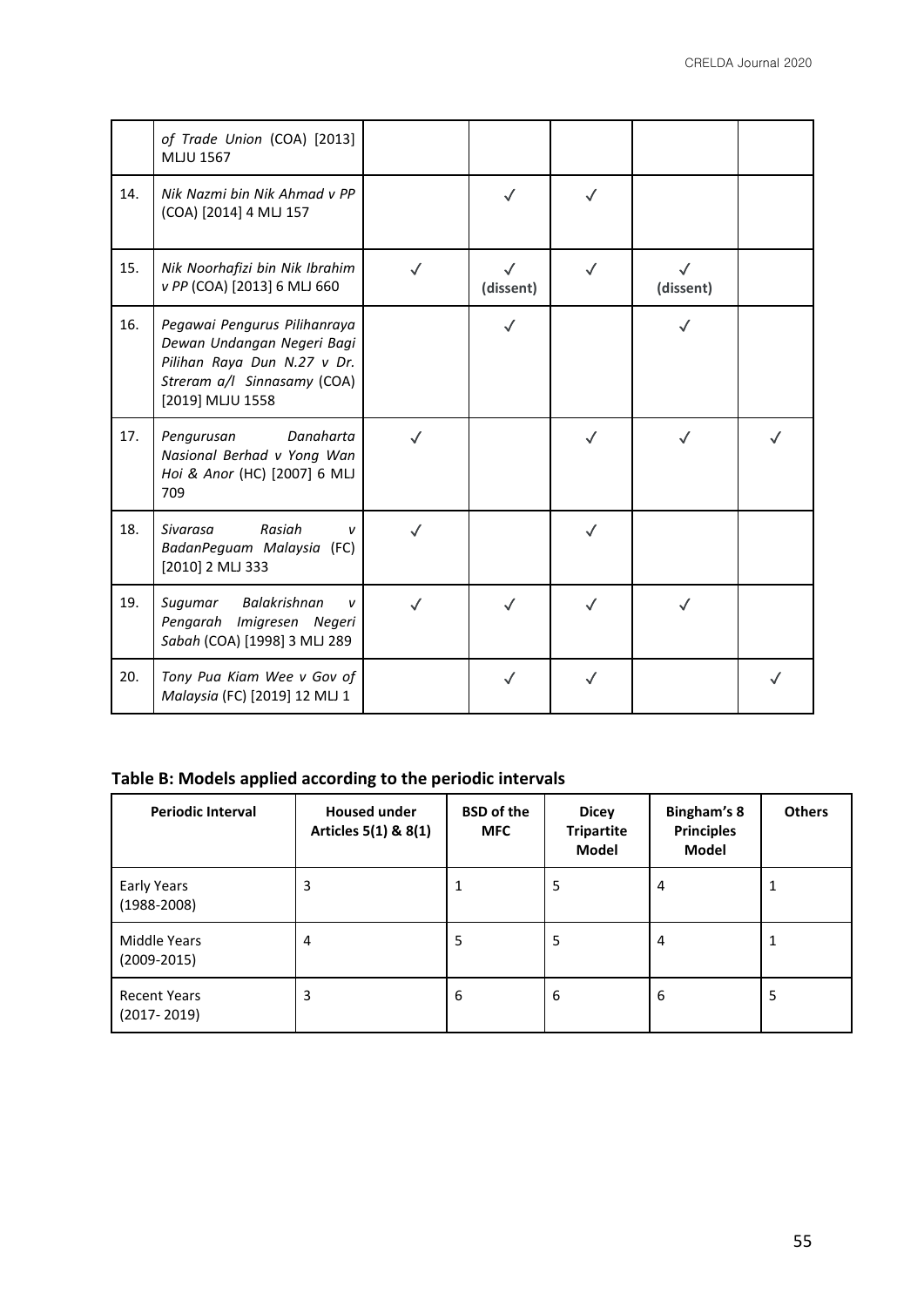|     | of Trade Union (COA) [2013]<br><b>MLJU 1567</b>                                                                                              |              |                           |              |                           |  |
|-----|----------------------------------------------------------------------------------------------------------------------------------------------|--------------|---------------------------|--------------|---------------------------|--|
| 14. | Nik Nazmi bin Nik Ahmad v PP<br>(COA) [2014] 4 MLJ 157                                                                                       |              | $\checkmark$              |              |                           |  |
| 15. | Nik Noorhafizi bin Nik Ibrahim<br>v PP (COA) [2013] 6 MLJ 660                                                                                | $\checkmark$ | $\checkmark$<br>(dissent) | $\checkmark$ | $\checkmark$<br>(dissent) |  |
| 16. | Pegawai Pengurus Pilihanraya<br>Dewan Undangan Negeri Bagi<br>Pilihan Raya Dun N.27 v Dr.<br>Streram a/l Sinnasamy (COA)<br>[2019] MLJU 1558 |              | $\checkmark$              |              |                           |  |
| 17. | Danaharta<br>Pengurusan<br>Nasional Berhad v Yong Wan<br>Hoi & Anor (HC) [2007] 6 MLJ<br>709                                                 | $\checkmark$ |                           | $\checkmark$ |                           |  |
| 18. | Rasiah<br>Sivarasa<br>$\mathbf{v}$<br>BadanPeguam Malaysia (FC)<br>[2010] 2 MLJ 333                                                          |              |                           |              |                           |  |
| 19. | Balakrishnan<br>Sugumar<br>$\mathbf{v}$<br>Pengarah Imigresen Negeri<br>Sabah (COA) [1998] 3 MLJ 289                                         |              |                           |              |                           |  |
| 20. | Tony Pua Kiam Wee v Gov of<br>Malaysia (FC) [2019] 12 MLJ 1                                                                                  |              | $\checkmark$              |              |                           |  |

# **Table B: Models applied according to the periodic intervals**

| <b>Periodic Interval</b>               | <b>Housed under</b><br>Articles 5(1) & 8(1) | <b>BSD</b> of the<br><b>MFC</b> | <b>Dicey</b><br><b>Tripartite</b><br>Model | Bingham's 8<br><b>Principles</b><br>Model | <b>Others</b> |
|----------------------------------------|---------------------------------------------|---------------------------------|--------------------------------------------|-------------------------------------------|---------------|
| Early Years<br>$(1988 - 2008)$         | 3                                           | 1                               | 5                                          | 4                                         |               |
| Middle Years<br>$(2009 - 2015)$        | 4                                           | 5                               | 5                                          | 4                                         |               |
| <b>Recent Years</b><br>$(2017 - 2019)$ | 3                                           | 6                               | 6                                          | 6                                         | 5             |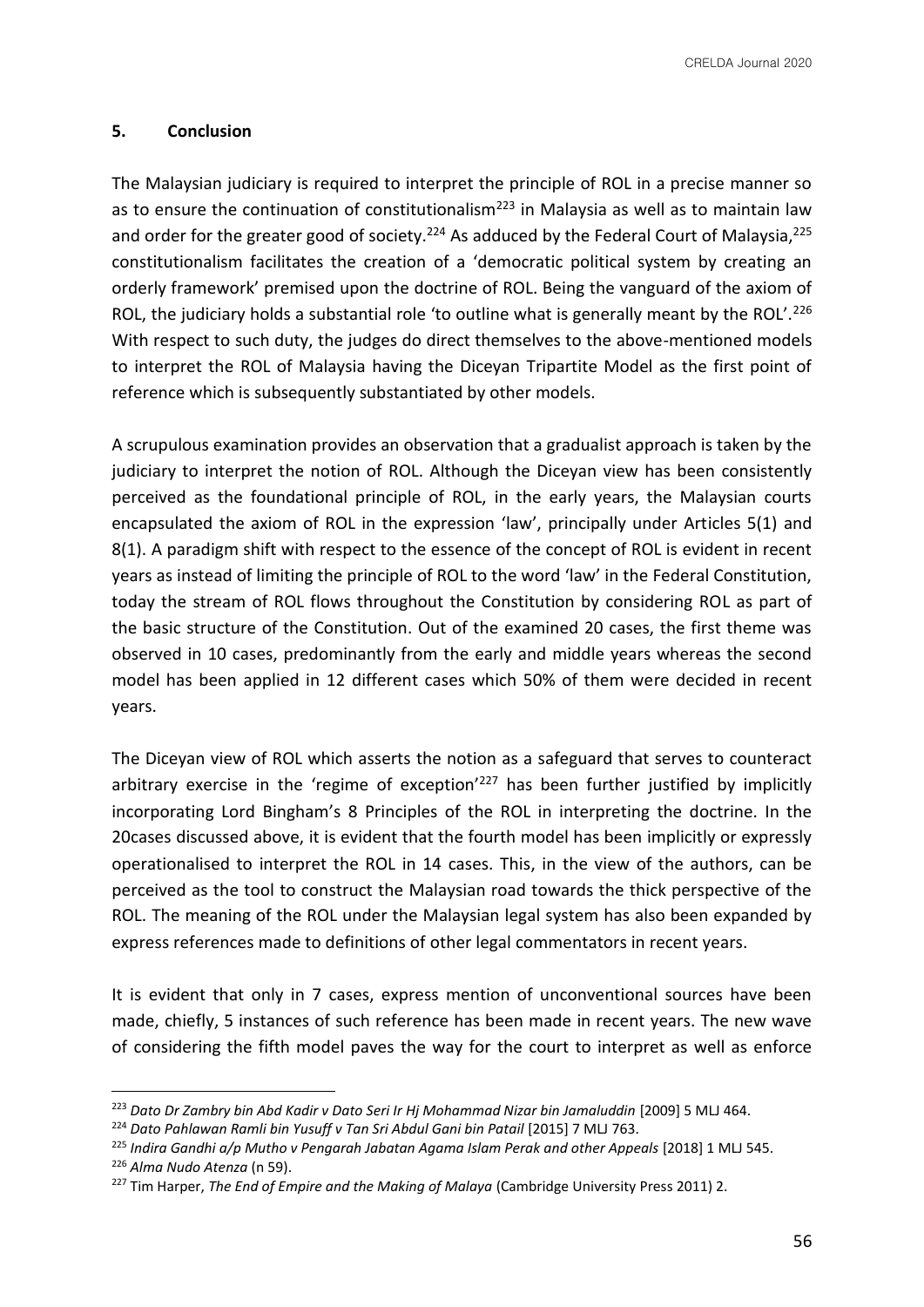CRELDA Journal 2020

# **5. Conclusion**

The Malaysian judiciary is required to interpret the principle of ROL in a precise manner so as to ensure the continuation of constitutionalism<sup>223</sup> in Malaysia as well as to maintain law and order for the greater good of society.<sup>224</sup> As adduced by the Federal Court of Malaysia,<sup>225</sup> constitutionalism facilitates the creation of a 'democratic political system by creating an orderly framework' premised upon the doctrine of ROL. Being the vanguard of the axiom of ROL, the judiciary holds a substantial role 'to outline what is generally meant by the ROL'.<sup>226</sup> With respect to such duty, the judges do direct themselves to the above-mentioned models to interpret the ROL of Malaysia having the Diceyan Tripartite Model as the first point of reference which is subsequently substantiated by other models.

A scrupulous examination provides an observation that a gradualist approach is taken by the judiciary to interpret the notion of ROL. Although the Diceyan view has been consistently perceived as the foundational principle of ROL, in the early years, the Malaysian courts encapsulated the axiom of ROL in the expression 'law', principally under Articles 5(1) and 8(1). A paradigm shift with respect to the essence of the concept of ROL is evident in recent years as instead of limiting the principle of ROL to the word 'law' in the Federal Constitution, today the stream of ROL flows throughout the Constitution by considering ROL as part of the basic structure of the Constitution. Out of the examined 20 cases, the first theme was observed in 10 cases, predominantly from the early and middle years whereas the second model has been applied in 12 different cases which 50% of them were decided in recent years.

The Diceyan view of ROL which asserts the notion as a safeguard that serves to counteract arbitrary exercise in the 'regime of exception'<sup>227</sup> has been further justified by implicitly incorporating Lord Bingham's 8 Principles of the ROL in interpreting the doctrine. In the 20cases discussed above, it is evident that the fourth model has been implicitly or expressly operationalised to interpret the ROL in 14 cases. This, in the view of the authors, can be perceived as the tool to construct the Malaysian road towards the thick perspective of the ROL. The meaning of the ROL under the Malaysian legal system has also been expanded by express references made to definitions of other legal commentators in recent years.

It is evident that only in 7 cases, express mention of unconventional sources have been made, chiefly, 5 instances of such reference has been made in recent years. The new wave of considering the fifth model paves the way for the court to interpret as well as enforce

<sup>223</sup> *Dato Dr Zambry bin Abd Kadir v Dato Seri Ir Hj Mohammad Nizar bin Jamaluddin* [2009] 5 MLJ 464.

<sup>&</sup>lt;sup>224</sup> Dato Pahlawan Ramli bin Yusuff v Tan Sri Abdul Gani bin Patail [2015] 7 MLJ 763.

<sup>&</sup>lt;sup>225</sup> Indira Gandhi a/p Mutho v Pengarah Jabatan Agama Islam Perak and other Appeals [2018] 1 MLJ 545. <sup>226</sup> *Alma Nudo Atenza* (n 59).

<sup>&</sup>lt;sup>227</sup> Tim Harper, *The End of Empire and the Making of Malaya* (Cambridge University Press 2011) 2.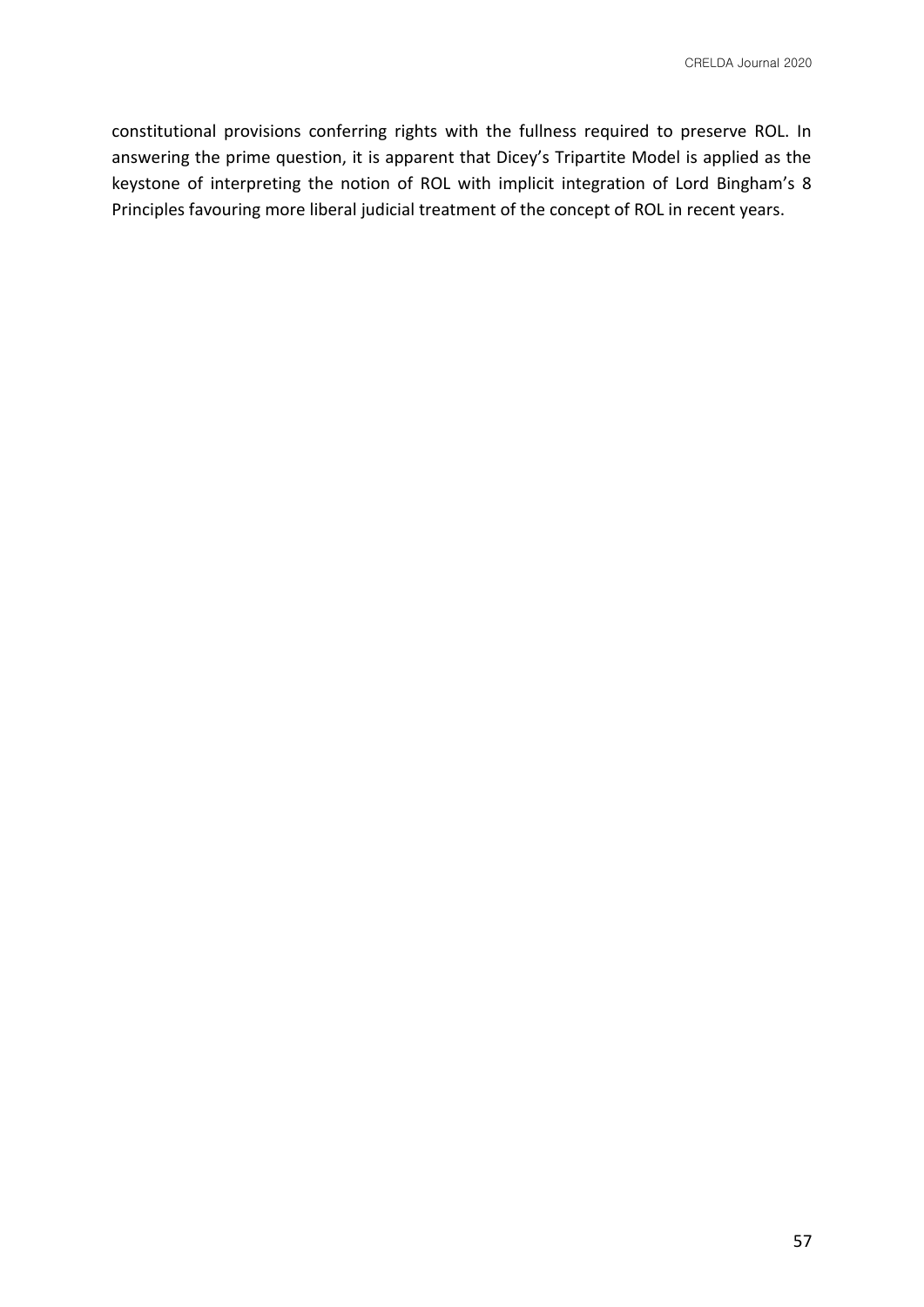constitutional provisions conferring rights with the fullness required to preserve ROL. In answering the prime question, it is apparent that Dicey's Tripartite Model is applied as the keystone of interpreting the notion of ROL with implicit integration of Lord Bingham's 8 Principles favouring more liberal judicial treatment of the concept of ROL in recent years.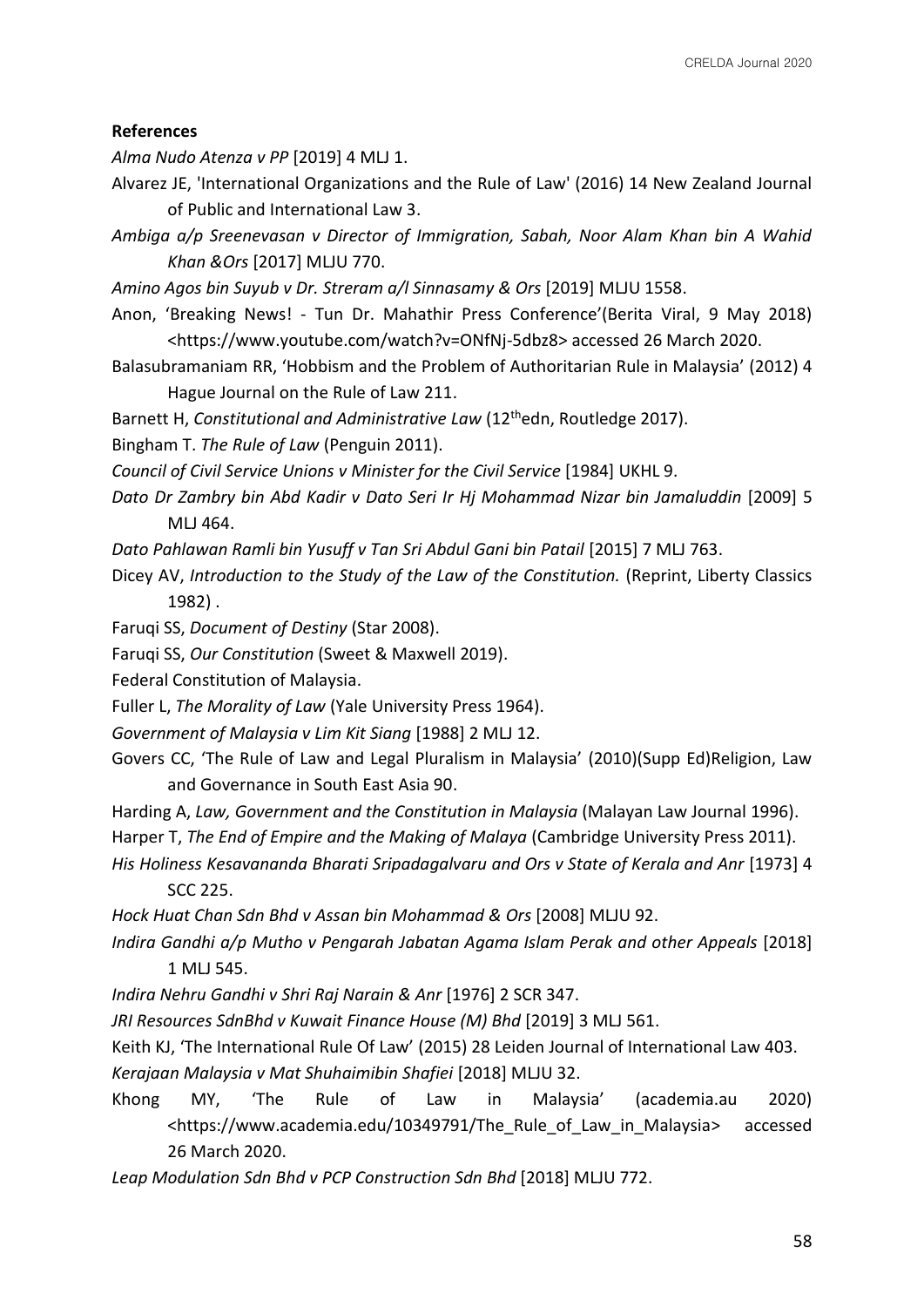# **References**

*Alma Nudo Atenza v PP* [2019] 4 MLJ 1.

Alvarez JE, 'International Organizations and the Rule of Law' (2016) 14 New Zealand Journal of Public and International Law 3.

*Ambiga a/p Sreenevasan v Director of Immigration, Sabah, Noor Alam Khan bin A Wahid Khan &Ors* [2017] MLJU 770.

*Amino Agos bin Suyub v Dr. Streram a/l Sinnasamy & Ors* [2019] MLJU 1558.

Anon, 'Breaking News! - Tun Dr. Mahathir Press Conference'(Berita Viral, 9 May 2018) <https://www.youtube.com/watch?v=ONfNj-5dbz8> accessed 26 March 2020.

Balasubramaniam RR, 'Hobbism and the Problem of Authoritarian Rule in Malaysia' (2012) 4 Hague Journal on the Rule of Law 211.

Barnett H, *Constitutional and Administrative Law* (12<sup>th</sup>edn, Routledge 2017).

Bingham T. *The Rule of Law* (Penguin 2011).

*Council of Civil Service Unions v Minister for the Civil Service* [1984] UKHL 9.

- *Dato Dr Zambry bin Abd Kadir v Dato Seri Ir Hj Mohammad Nizar bin Jamaluddin* [2009] 5 ML I 464.
- *Dato Pahlawan Ramli bin Yusuff v Tan Sri Abdul Gani bin Patail* [2015] 7 MLJ 763.

Dicey AV, *Introduction to the Study of the Law of the Constitution.* (Reprint, Liberty Classics 1982) .

- Faruqi SS, *Document of Destiny* (Star 2008).
- Faruqi SS, *Our Constitution* (Sweet & Maxwell 2019).

Federal Constitution of Malaysia.

Fuller L, *The Morality of Law* (Yale University Press 1964).

*Government of Malaysia v Lim Kit Siang* [1988] 2 MLJ 12.

Govers CC, 'The Rule of Law and Legal Pluralism in Malaysia' (2010)(Supp Ed)Religion, Law and Governance in South East Asia 90.

Harding A, *Law, Government and the Constitution in Malaysia* (Malayan Law Journal 1996).

Harper T, *The End of Empire and the Making of Malaya* (Cambridge University Press 2011).

*His Holiness Kesavananda Bharati Sripadagalvaru and Ors v State of Kerala and Anr* [1973] 4 SCC 225.

*Hock Huat Chan Sdn Bhd v Assan bin Mohammad & Ors* [2008] MLJU 92.

*Indira Gandhi a/p Mutho v Pengarah Jabatan Agama Islam Perak and other Appeals* [2018] 1 MLJ 545.

*Indira Nehru Gandhi v Shri Raj Narain & Anr* [1976] 2 SCR 347.

*JRI Resources SdnBhd v Kuwait Finance House (M) Bhd* [2019] 3 MLJ 561.

Keith KJ, 'The International Rule Of Law' (2015) 28 Leiden Journal of International Law 403.

*Kerajaan Malaysia v Mat Shuhaimibin Shafiei* [2018] MLJU 32.

Khong MY, 'The Rule of Law in Malaysia' (academia.au 2020) <https://www.academia.edu/10349791/The\_Rule\_of\_Law\_in\_Malaysia> accessed 26 March 2020.

*Leap Modulation Sdn Bhd v PCP Construction Sdn Bhd* [2018] MLJU 772.